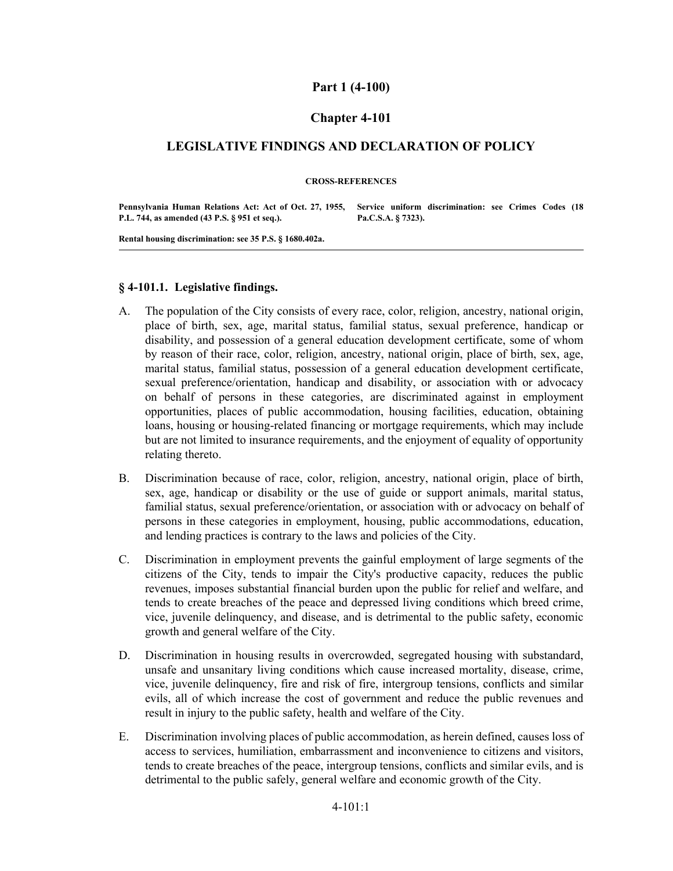## **Part 1 (4-100)**

## **Chapter 4-101**

## **LEGISLATIVE FINDINGS AND DECLARATION OF POLICY**

#### **CROSS-REFERENCES**

**Pennsylvania Human Relations Act: Act of Oct. 27, 1955, Service uniform discrimination: see Crimes Codes (18 P.L. 744, as amended (43 P.S. § 951 et seq.). Pa.C.S.A. § 7323).**

**Rental housing discrimination: see 35 P.S. § 1680.402a.**

#### **§ 4-101.1. Legislative findings.**

- The population of the City consists of every race, color, religion, ancestry, national origin, place of birth, sex, age, marital status, familial status, sexual preference, handicap or disability, and possession of a general education development certificate, some of whom by reason of their race, color, religion, ancestry, national origin, place of birth, sex, age, marital status, familial status, possession of a general education development certificate, sexual preference/orientation, handicap and disability, or association with or advocacy on behalf of persons in these categories, are discriminated against in employment opportunities, places of public accommodation, housing facilities, education, obtaining loans, housing or housing-related financing or mortgage requirements, which may include but are not limited to insurance requirements, and the enjoyment of equality of opportunity relating thereto. A.
- Discrimination because of race, color, religion, ancestry, national origin, place of birth, sex, age, handicap or disability or the use of guide or support animals, marital status, familial status, sexual preference/orientation, or association with or advocacy on behalf of persons in these categories in employment, housing, public accommodations, education, and lending practices is contrary to the laws and policies of the City. B.
- Discrimination in employment prevents the gainful employment of large segments of the citizens of the City, tends to impair the City's productive capacity, reduces the public revenues, imposes substantial financial burden upon the public for relief and welfare, and tends to create breaches of the peace and depressed living conditions which breed crime, vice, juvenile delinquency, and disease, and is detrimental to the public safety, economic growth and general welfare of the City. C.
- Discrimination in housing results in overcrowded, segregated housing with substandard, unsafe and unsanitary living conditions which cause increased mortality, disease, crime, vice, juvenile delinquency, fire and risk of fire, intergroup tensions, conflicts and similar evils, all of which increase the cost of government and reduce the public revenues and result in injury to the public safety, health and welfare of the City. D.
- Discrimination involving places of public accommodation, as herein defined, causes loss of access to services, humiliation, embarrassment and inconvenience to citizens and visitors, tends to create breaches of the peace, intergroup tensions, conflicts and similar evils, and is detrimental to the public safely, general welfare and economic growth of the City. E.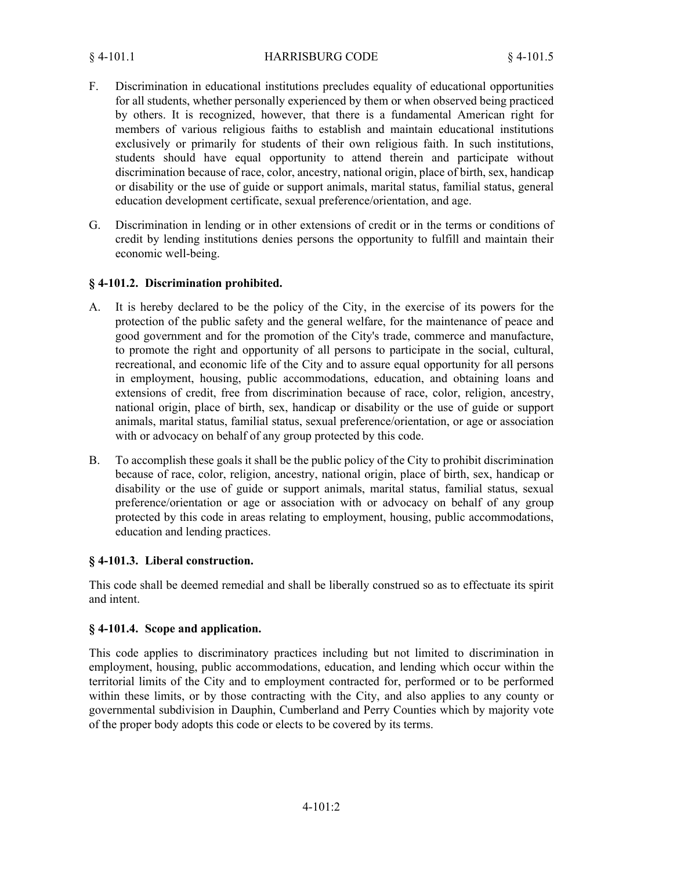- Discrimination in educational institutions precludes equality of educational opportunities for all students, whether personally experienced by them or when observed being practiced by others. It is recognized, however, that there is a fundamental American right for members of various religious faiths to establish and maintain educational institutions exclusively or primarily for students of their own religious faith. In such institutions, students should have equal opportunity to attend therein and participate without discrimination because of race, color, ancestry, national origin, place of birth, sex, handicap or disability or the use of guide or support animals, marital status, familial status, general education development certificate, sexual preference/orientation, and age. F.
- Discrimination in lending or in other extensions of credit or in the terms or conditions of credit by lending institutions denies persons the opportunity to fulfill and maintain their economic well-being. G.

### **§ 4-101.2. Discrimination prohibited.**

- It is hereby declared to be the policy of the City, in the exercise of its powers for the protection of the public safety and the general welfare, for the maintenance of peace and good government and for the promotion of the City's trade, commerce and manufacture, to promote the right and opportunity of all persons to participate in the social, cultural, recreational, and economic life of the City and to assure equal opportunity for all persons in employment, housing, public accommodations, education, and obtaining loans and extensions of credit, free from discrimination because of race, color, religion, ancestry, national origin, place of birth, sex, handicap or disability or the use of guide or support animals, marital status, familial status, sexual preference/orientation, or age or association with or advocacy on behalf of any group protected by this code. A.
- To accomplish these goals it shall be the public policy of the City to prohibit discrimination because of race, color, religion, ancestry, national origin, place of birth, sex, handicap or disability or the use of guide or support animals, marital status, familial status, sexual preference/orientation or age or association with or advocacy on behalf of any group protected by this code in areas relating to employment, housing, public accommodations, education and lending practices. B.

### **§ 4-101.3. Liberal construction.**

This code shall be deemed remedial and shall be liberally construed so as to effectuate its spirit and intent.

### **§ 4-101.4. Scope and application.**

This code applies to discriminatory practices including but not limited to discrimination in employment, housing, public accommodations, education, and lending which occur within the territorial limits of the City and to employment contracted for, performed or to be performed within these limits, or by those contracting with the City, and also applies to any county or governmental subdivision in Dauphin, Cumberland and Perry Counties which by majority vote of the proper body adopts this code or elects to be covered by its terms.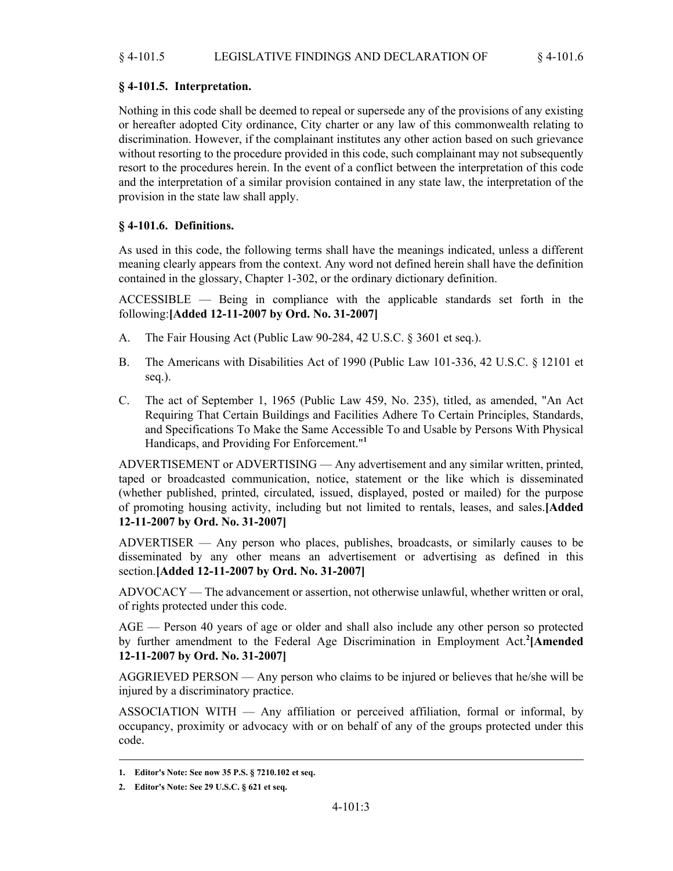# **§ 4-101.5. Interpretation.**

Nothing in this code shall be deemed to repeal or supersede any of the provisions of any existing or hereafter adopted City ordinance, City charter or any law of this commonwealth relating to discrimination. However, if the complainant institutes any other action based on such grievance without resorting to the procedure provided in this code, such complainant may not subsequently resort to the procedures herein. In the event of a conflict between the interpretation of this code and the interpretation of a similar provision contained in any state law, the interpretation of the provision in the state law shall apply.

# **§ 4-101.6. Definitions.**

As used in this code, the following terms shall have the meanings indicated, unless a different meaning clearly appears from the context. Any word not defined herein shall have the definition contained in the glossary, Chapter 1-302, or the ordinary dictionary definition.

ACCESSIBLE — Being in compliance with the applicable standards set forth in the following:**[Added 12-11-2007 by Ord. No. 31-2007]**

- A. The Fair Housing Act (Public Law 90-284, 42 U.S.C. § 3601 et seq.).
- The Americans with Disabilities Act of 1990 (Public Law 101-336, 42 U.S.C. § 12101 et seq.). B.
- The act of September 1, 1965 (Public Law 459, No. 235), titled, as amended, "An Act Requiring That Certain Buildings and Facilities Adhere To Certain Principles, Standards, and Specifications To Make the Same Accessible To and Usable by Persons With Physical Handicaps, and Providing For Enforcement."**<sup>1</sup>** C.

ADVERTISEMENT or ADVERTISING — Any advertisement and any similar written, printed, taped or broadcasted communication, notice, statement or the like which is disseminated (whether published, printed, circulated, issued, displayed, posted or mailed) for the purpose of promoting housing activity, including but not limited to rentals, leases, and sales.**[Added 12-11-2007 by Ord. No. 31-2007]**

ADVERTISER — Any person who places, publishes, broadcasts, or similarly causes to be disseminated by any other means an advertisement or advertising as defined in this section.**[Added 12-11-2007 by Ord. No. 31-2007]**

ADVOCACY — The advancement or assertion, not otherwise unlawful, whether written or oral, of rights protected under this code.

AGE — Person 40 years of age or older and shall also include any other person so protected by further amendment to the Federal Age Discrimination in Employment Act.**<sup>2</sup> [Amended 12-11-2007 by Ord. No. 31-2007]**

AGGRIEVED PERSON — Any person who claims to be injured or believes that he/she will be injured by a discriminatory practice.

ASSOCIATION WITH — Any affiliation or perceived affiliation, formal or informal, by occupancy, proximity or advocacy with or on behalf of any of the groups protected under this code.

**<sup>1.</sup> Editor's Note: See now 35 P.S. § 7210.102 et seq.**

**<sup>2.</sup> Editor's Note: See 29 U.S.C. § 621 et seq.**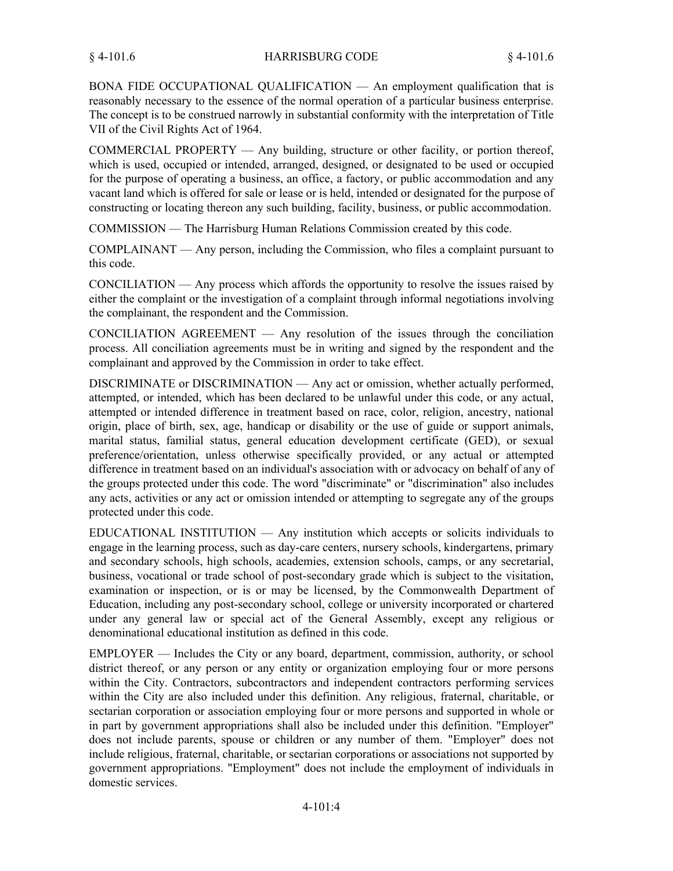BONA FIDE OCCUPATIONAL QUALIFICATION — An employment qualification that is reasonably necessary to the essence of the normal operation of a particular business enterprise. The concept is to be construed narrowly in substantial conformity with the interpretation of Title VII of the Civil Rights Act of 1964.

COMMERCIAL PROPERTY — Any building, structure or other facility, or portion thereof, which is used, occupied or intended, arranged, designed, or designated to be used or occupied for the purpose of operating a business, an office, a factory, or public accommodation and any vacant land which is offered for sale or lease or is held, intended or designated for the purpose of constructing or locating thereon any such building, facility, business, or public accommodation.

COMMISSION — The Harrisburg Human Relations Commission created by this code.

COMPLAINANT — Any person, including the Commission, who files a complaint pursuant to this code.

CONCILIATION — Any process which affords the opportunity to resolve the issues raised by either the complaint or the investigation of a complaint through informal negotiations involving the complainant, the respondent and the Commission.

CONCILIATION AGREEMENT — Any resolution of the issues through the conciliation process. All conciliation agreements must be in writing and signed by the respondent and the complainant and approved by the Commission in order to take effect.

DISCRIMINATE or DISCRIMINATION — Any act or omission, whether actually performed, attempted, or intended, which has been declared to be unlawful under this code, or any actual, attempted or intended difference in treatment based on race, color, religion, ancestry, national origin, place of birth, sex, age, handicap or disability or the use of guide or support animals, marital status, familial status, general education development certificate (GED), or sexual preference/orientation, unless otherwise specifically provided, or any actual or attempted difference in treatment based on an individual's association with or advocacy on behalf of any of the groups protected under this code. The word "discriminate" or "discrimination" also includes any acts, activities or any act or omission intended or attempting to segregate any of the groups protected under this code.

EDUCATIONAL INSTITUTION — Any institution which accepts or solicits individuals to engage in the learning process, such as day-care centers, nursery schools, kindergartens, primary and secondary schools, high schools, academies, extension schools, camps, or any secretarial, business, vocational or trade school of post-secondary grade which is subject to the visitation, examination or inspection, or is or may be licensed, by the Commonwealth Department of Education, including any post-secondary school, college or university incorporated or chartered under any general law or special act of the General Assembly, except any religious or denominational educational institution as defined in this code.

EMPLOYER — Includes the City or any board, department, commission, authority, or school district thereof, or any person or any entity or organization employing four or more persons within the City. Contractors, subcontractors and independent contractors performing services within the City are also included under this definition. Any religious, fraternal, charitable, or sectarian corporation or association employing four or more persons and supported in whole or in part by government appropriations shall also be included under this definition. "Employer" does not include parents, spouse or children or any number of them. "Employer" does not include religious, fraternal, charitable, or sectarian corporations or associations not supported by government appropriations. "Employment" does not include the employment of individuals in domestic services.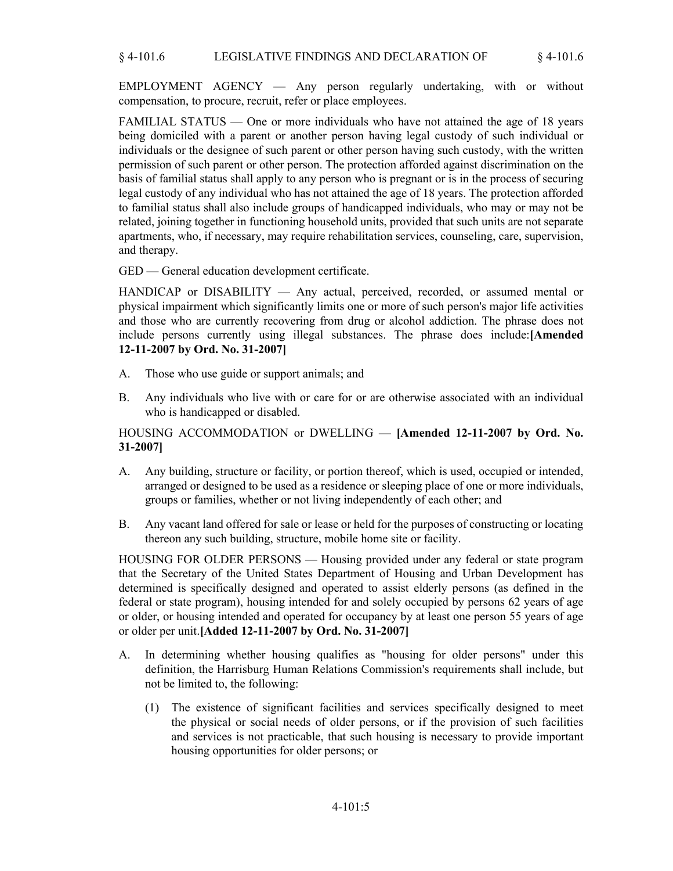EMPLOYMENT AGENCY — Any person regularly undertaking, with or without compensation, to procure, recruit, refer or place employees.

FAMILIAL STATUS — One or more individuals who have not attained the age of 18 years being domiciled with a parent or another person having legal custody of such individual or individuals or the designee of such parent or other person having such custody, with the written permission of such parent or other person. The protection afforded against discrimination on the basis of familial status shall apply to any person who is pregnant or is in the process of securing legal custody of any individual who has not attained the age of 18 years. The protection afforded to familial status shall also include groups of handicapped individuals, who may or may not be related, joining together in functioning household units, provided that such units are not separate apartments, who, if necessary, may require rehabilitation services, counseling, care, supervision, and therapy.

GED — General education development certificate.

HANDICAP or DISABILITY — Any actual, perceived, recorded, or assumed mental or physical impairment which significantly limits one or more of such person's major life activities and those who are currently recovering from drug or alcohol addiction. The phrase does not include persons currently using illegal substances. The phrase does include:**[Amended 12-11-2007 by Ord. No. 31-2007]**

- A. Those who use guide or support animals; and
- Any individuals who live with or care for or are otherwise associated with an individual who is handicapped or disabled. B.

## HOUSING ACCOMMODATION or DWELLING — **[Amended 12-11-2007 by Ord. No. 31-2007]**

- Any building, structure or facility, or portion thereof, which is used, occupied or intended, arranged or designed to be used as a residence or sleeping place of one or more individuals, groups or families, whether or not living independently of each other; and A.
- Any vacant land offered for sale or lease or held for the purposes of constructing or locating thereon any such building, structure, mobile home site or facility. B.

HOUSING FOR OLDER PERSONS — Housing provided under any federal or state program that the Secretary of the United States Department of Housing and Urban Development has determined is specifically designed and operated to assist elderly persons (as defined in the federal or state program), housing intended for and solely occupied by persons 62 years of age or older, or housing intended and operated for occupancy by at least one person 55 years of age or older per unit.**[Added 12-11-2007 by Ord. No. 31-2007]**

- In determining whether housing qualifies as "housing for older persons" under this definition, the Harrisburg Human Relations Commission's requirements shall include, but not be limited to, the following: A.
	- The existence of significant facilities and services specifically designed to meet the physical or social needs of older persons, or if the provision of such facilities and services is not practicable, that such housing is necessary to provide important housing opportunities for older persons; or (1)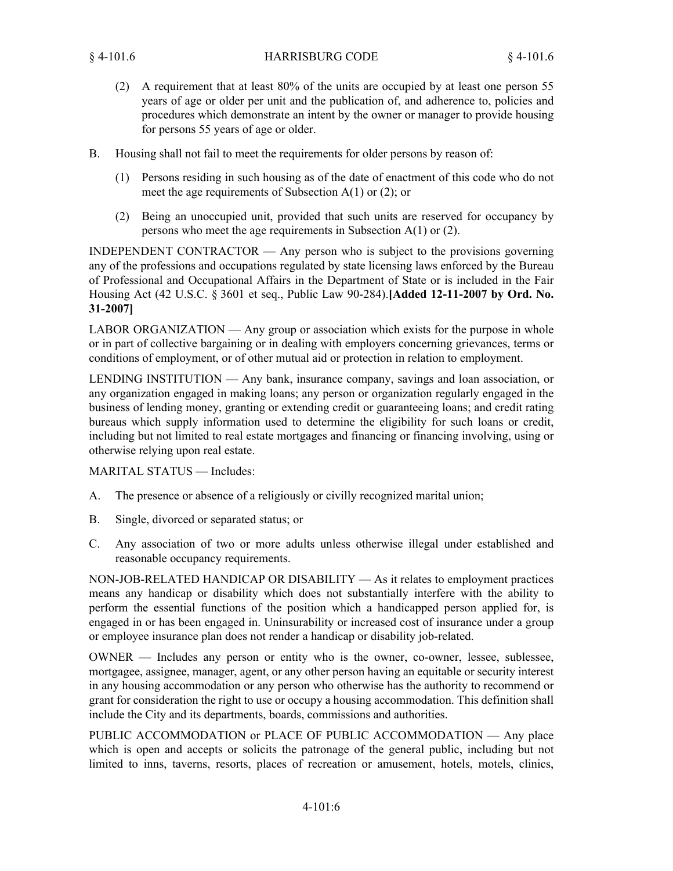- A requirement that at least 80% of the units are occupied by at least one person 55 (2) years of age or older per unit and the publication of, and adherence to, policies and procedures which demonstrate an intent by the owner or manager to provide housing for persons 55 years of age or older.
- Housing shall not fail to meet the requirements for older persons by reason of: B.
	- Persons residing in such housing as of the date of enactment of this code who do not (1) meet the age requirements of Subsection  $A(1)$  or  $(2)$ ; or
	- Being an unoccupied unit, provided that such units are reserved for occupancy by (2) persons who meet the age requirements in Subsection A(1) or (2).

INDEPENDENT CONTRACTOR — Any person who is subject to the provisions governing any of the professions and occupations regulated by state licensing laws enforced by the Bureau of Professional and Occupational Affairs in the Department of State or is included in the Fair Housing Act (42 U.S.C. § 3601 et seq., Public Law 90-284).**[Added 12-11-2007 by Ord. No. 31-2007]**

LABOR ORGANIZATION — Any group or association which exists for the purpose in whole or in part of collective bargaining or in dealing with employers concerning grievances, terms or conditions of employment, or of other mutual aid or protection in relation to employment.

LENDING INSTITUTION — Any bank, insurance company, savings and loan association, or any organization engaged in making loans; any person or organization regularly engaged in the business of lending money, granting or extending credit or guaranteeing loans; and credit rating bureaus which supply information used to determine the eligibility for such loans or credit, including but not limited to real estate mortgages and financing or financing involving, using or otherwise relying upon real estate.

MARITAL STATUS — Includes:

- A. The presence or absence of a religiously or civilly recognized marital union;
- B. Single, divorced or separated status; or
- Any association of two or more adults unless otherwise illegal under established and reasonable occupancy requirements.  $C<sub>1</sub>$

NON-JOB-RELATED HANDICAP OR DISABILITY — As it relates to employment practices means any handicap or disability which does not substantially interfere with the ability to perform the essential functions of the position which a handicapped person applied for, is engaged in or has been engaged in. Uninsurability or increased cost of insurance under a group or employee insurance plan does not render a handicap or disability job-related.

OWNER — Includes any person or entity who is the owner, co-owner, lessee, sublessee, mortgagee, assignee, manager, agent, or any other person having an equitable or security interest in any housing accommodation or any person who otherwise has the authority to recommend or grant for consideration the right to use or occupy a housing accommodation. This definition shall include the City and its departments, boards, commissions and authorities.

PUBLIC ACCOMMODATION or PLACE OF PUBLIC ACCOMMODATION — Any place which is open and accepts or solicits the patronage of the general public, including but not limited to inns, taverns, resorts, places of recreation or amusement, hotels, motels, clinics,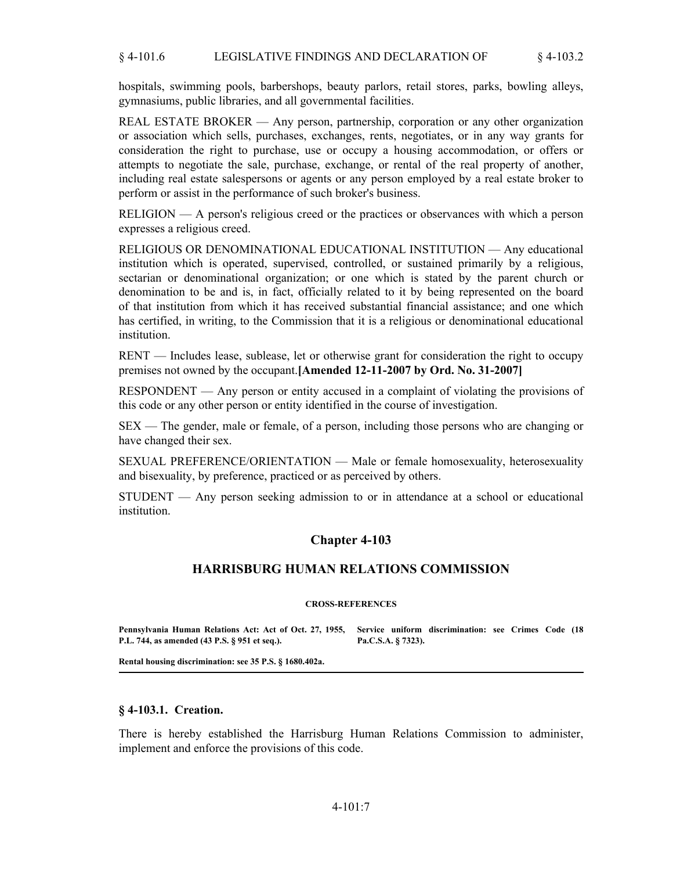hospitals, swimming pools, barbershops, beauty parlors, retail stores, parks, bowling alleys, gymnasiums, public libraries, and all governmental facilities.

REAL ESTATE BROKER — Any person, partnership, corporation or any other organization or association which sells, purchases, exchanges, rents, negotiates, or in any way grants for consideration the right to purchase, use or occupy a housing accommodation, or offers or attempts to negotiate the sale, purchase, exchange, or rental of the real property of another, including real estate salespersons or agents or any person employed by a real estate broker to perform or assist in the performance of such broker's business.

RELIGION — A person's religious creed or the practices or observances with which a person expresses a religious creed.

RELIGIOUS OR DENOMINATIONAL EDUCATIONAL INSTITUTION — Any educational institution which is operated, supervised, controlled, or sustained primarily by a religious, sectarian or denominational organization; or one which is stated by the parent church or denomination to be and is, in fact, officially related to it by being represented on the board of that institution from which it has received substantial financial assistance; and one which has certified, in writing, to the Commission that it is a religious or denominational educational **institution** 

RENT — Includes lease, sublease, let or otherwise grant for consideration the right to occupy premises not owned by the occupant.**[Amended 12-11-2007 by Ord. No. 31-2007]**

RESPONDENT — Any person or entity accused in a complaint of violating the provisions of this code or any other person or entity identified in the course of investigation.

SEX — The gender, male or female, of a person, including those persons who are changing or have changed their sex.

SEXUAL PREFERENCE/ORIENTATION — Male or female homosexuality, heterosexuality and bisexuality, by preference, practiced or as perceived by others.

STUDENT — Any person seeking admission to or in attendance at a school or educational institution.

## **Chapter 4-103**

#### **HARRISBURG HUMAN RELATIONS COMMISSION**

#### **CROSS-REFERENCES**

**Pennsylvania Human Relations Act: Act of Oct. 27, 1955, Service uniform discrimination: see Crimes Code (18 P.L. 744, as amended (43 P.S. § 951 et seq.). Pa.C.S.A. § 7323).**

**Rental housing discrimination: see 35 P.S. § 1680.402a.**

#### **§ 4-103.1. Creation.**

There is hereby established the Harrisburg Human Relations Commission to administer, implement and enforce the provisions of this code.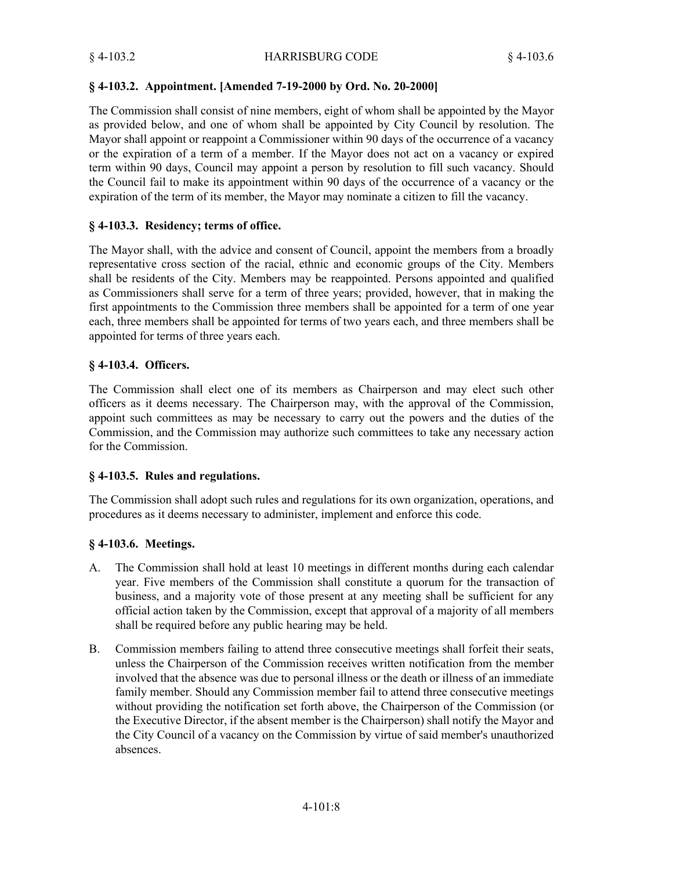## **§ 4-103.2. Appointment. [Amended 7-19-2000 by Ord. No. 20-2000]**

The Commission shall consist of nine members, eight of whom shall be appointed by the Mayor as provided below, and one of whom shall be appointed by City Council by resolution. The Mayor shall appoint or reappoint a Commissioner within 90 days of the occurrence of a vacancy or the expiration of a term of a member. If the Mayor does not act on a vacancy or expired term within 90 days, Council may appoint a person by resolution to fill such vacancy. Should the Council fail to make its appointment within 90 days of the occurrence of a vacancy or the expiration of the term of its member, the Mayor may nominate a citizen to fill the vacancy.

# **§ 4-103.3. Residency; terms of office.**

The Mayor shall, with the advice and consent of Council, appoint the members from a broadly representative cross section of the racial, ethnic and economic groups of the City. Members shall be residents of the City. Members may be reappointed. Persons appointed and qualified as Commissioners shall serve for a term of three years; provided, however, that in making the first appointments to the Commission three members shall be appointed for a term of one year each, three members shall be appointed for terms of two years each, and three members shall be appointed for terms of three years each.

## **§ 4-103.4. Officers.**

The Commission shall elect one of its members as Chairperson and may elect such other officers as it deems necessary. The Chairperson may, with the approval of the Commission, appoint such committees as may be necessary to carry out the powers and the duties of the Commission, and the Commission may authorize such committees to take any necessary action for the Commission.

# **§ 4-103.5. Rules and regulations.**

The Commission shall adopt such rules and regulations for its own organization, operations, and procedures as it deems necessary to administer, implement and enforce this code.

# **§ 4-103.6. Meetings.**

- The Commission shall hold at least 10 meetings in different months during each calendar year. Five members of the Commission shall constitute a quorum for the transaction of business, and a majority vote of those present at any meeting shall be sufficient for any official action taken by the Commission, except that approval of a majority of all members shall be required before any public hearing may be held. A.
- Commission members failing to attend three consecutive meetings shall forfeit their seats, unless the Chairperson of the Commission receives written notification from the member involved that the absence was due to personal illness or the death or illness of an immediate family member. Should any Commission member fail to attend three consecutive meetings without providing the notification set forth above, the Chairperson of the Commission (or the Executive Director, if the absent member is the Chairperson) shall notify the Mayor and the City Council of a vacancy on the Commission by virtue of said member's unauthorized absences. B.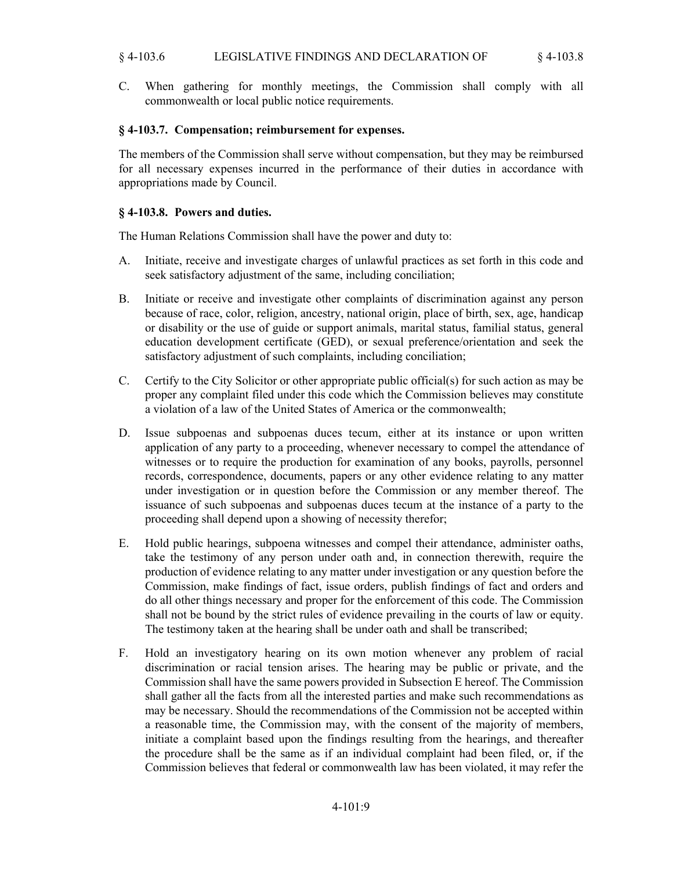### § 4-103.6 LEGISLATIVE FINDINGS AND DECLARATION OF § 4-103.8

C. When gathering for monthly meetings, the Commission shall comply with all commonwealth or local public notice requirements.

#### **§ 4-103.7. Compensation; reimbursement for expenses.**

The members of the Commission shall serve without compensation, but they may be reimbursed for all necessary expenses incurred in the performance of their duties in accordance with appropriations made by Council.

#### **§ 4-103.8. Powers and duties.**

The Human Relations Commission shall have the power and duty to:

- Initiate, receive and investigate charges of unlawful practices as set forth in this code and seek satisfactory adjustment of the same, including conciliation; A.
- Initiate or receive and investigate other complaints of discrimination against any person because of race, color, religion, ancestry, national origin, place of birth, sex, age, handicap or disability or the use of guide or support animals, marital status, familial status, general education development certificate (GED), or sexual preference/orientation and seek the satisfactory adjustment of such complaints, including conciliation; B.
- Certify to the City Solicitor or other appropriate public official(s) for such action as may be proper any complaint filed under this code which the Commission believes may constitute a violation of a law of the United States of America or the commonwealth; C.
- Issue subpoenas and subpoenas duces tecum, either at its instance or upon written application of any party to a proceeding, whenever necessary to compel the attendance of witnesses or to require the production for examination of any books, payrolls, personnel records, correspondence, documents, papers or any other evidence relating to any matter under investigation or in question before the Commission or any member thereof. The issuance of such subpoenas and subpoenas duces tecum at the instance of a party to the proceeding shall depend upon a showing of necessity therefor; D.
- Hold public hearings, subpoena witnesses and compel their attendance, administer oaths, take the testimony of any person under oath and, in connection therewith, require the production of evidence relating to any matter under investigation or any question before the Commission, make findings of fact, issue orders, publish findings of fact and orders and do all other things necessary and proper for the enforcement of this code. The Commission shall not be bound by the strict rules of evidence prevailing in the courts of law or equity. The testimony taken at the hearing shall be under oath and shall be transcribed; E.
- Hold an investigatory hearing on its own motion whenever any problem of racial discrimination or racial tension arises. The hearing may be public or private, and the Commission shall have the same powers provided in Subsection E hereof. The Commission shall gather all the facts from all the interested parties and make such recommendations as may be necessary. Should the recommendations of the Commission not be accepted within a reasonable time, the Commission may, with the consent of the majority of members, initiate a complaint based upon the findings resulting from the hearings, and thereafter the procedure shall be the same as if an individual complaint had been filed, or, if the Commission believes that federal or commonwealth law has been violated, it may refer the F.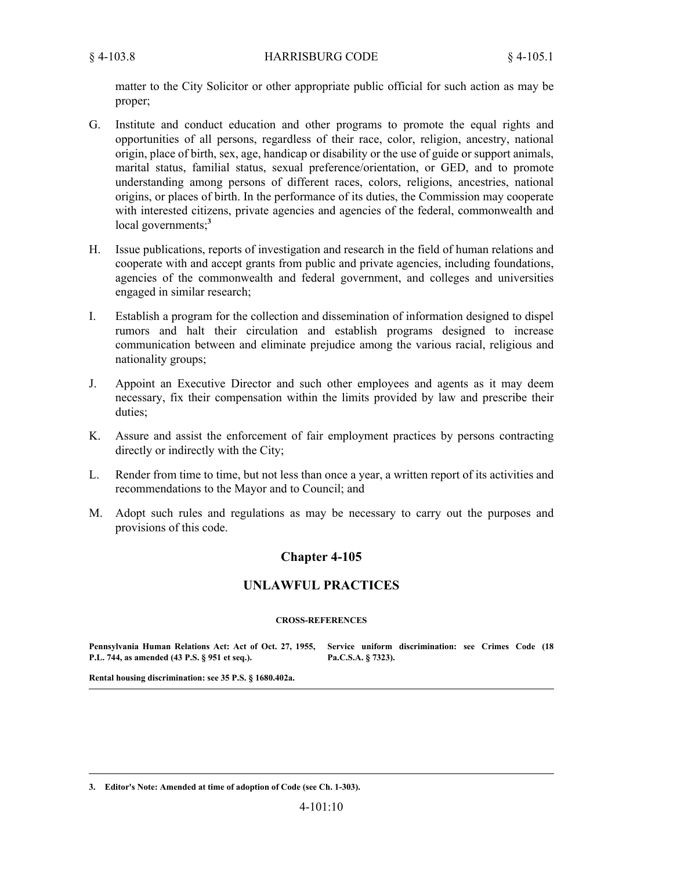matter to the City Solicitor or other appropriate public official for such action as may be proper;

- Institute and conduct education and other programs to promote the equal rights and opportunities of all persons, regardless of their race, color, religion, ancestry, national origin, place of birth, sex, age, handicap or disability or the use of guide or support animals, marital status, familial status, sexual preference/orientation, or GED, and to promote understanding among persons of different races, colors, religions, ancestries, national origins, or places of birth. In the performance of its duties, the Commission may cooperate with interested citizens, private agencies and agencies of the federal, commonwealth and local governments;**<sup>3</sup>** G.
- Issue publications, reports of investigation and research in the field of human relations and cooperate with and accept grants from public and private agencies, including foundations, agencies of the commonwealth and federal government, and colleges and universities engaged in similar research; H.
- Establish a program for the collection and dissemination of information designed to dispel rumors and halt their circulation and establish programs designed to increase communication between and eliminate prejudice among the various racial, religious and nationality groups; I.
- Appoint an Executive Director and such other employees and agents as it may deem necessary, fix their compensation within the limits provided by law and prescribe their duties; J.
- Assure and assist the enforcement of fair employment practices by persons contracting directly or indirectly with the City; K.
- Render from time to time, but not less than once a year, a written report of its activities and recommendations to the Mayor and to Council; and L.
- Adopt such rules and regulations as may be necessary to carry out the purposes and provisions of this code. M.

# **Chapter 4-105**

### **UNLAWFUL PRACTICES**

#### **CROSS-REFERENCES**

**Pennsylvania Human Relations Act: Act of Oct. 27, 1955, Service uniform discrimination: see Crimes Code (18 P.L. 744, as amended (43 P.S. § 951 et seq.). Pa.C.S.A. § 7323).**

**Rental housing discrimination: see 35 P.S. § 1680.402a.**

**3. Editor's Note: Amended at time of adoption of Code (see Ch. 1-303).**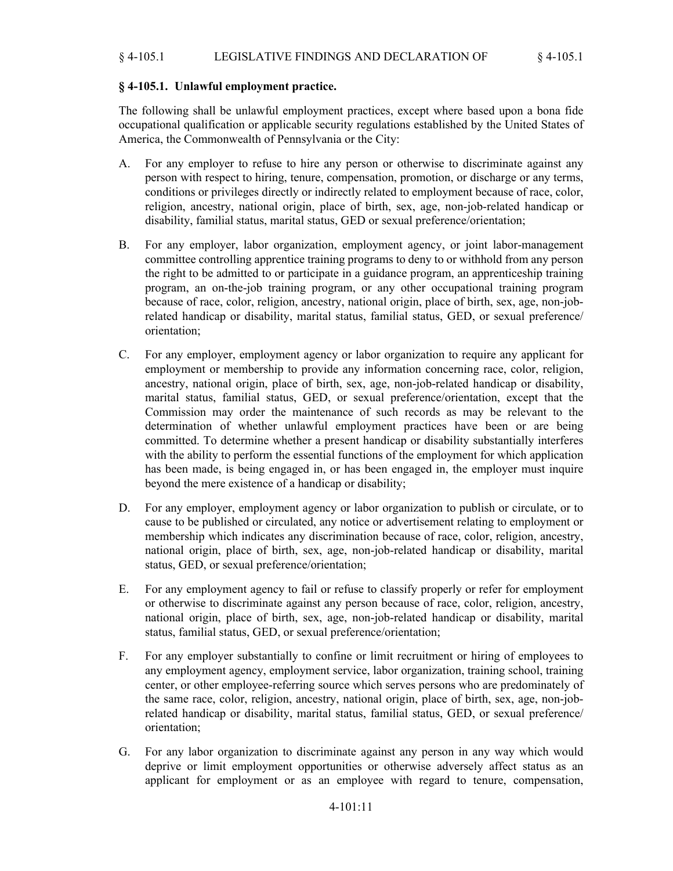## **§ 4-105.1. Unlawful employment practice.**

The following shall be unlawful employment practices, except where based upon a bona fide occupational qualification or applicable security regulations established by the United States of America, the Commonwealth of Pennsylvania or the City:

- For any employer to refuse to hire any person or otherwise to discriminate against any person with respect to hiring, tenure, compensation, promotion, or discharge or any terms, conditions or privileges directly or indirectly related to employment because of race, color, religion, ancestry, national origin, place of birth, sex, age, non-job-related handicap or disability, familial status, marital status, GED or sexual preference/orientation; A.
- For any employer, labor organization, employment agency, or joint labor-management committee controlling apprentice training programs to deny to or withhold from any person the right to be admitted to or participate in a guidance program, an apprenticeship training program, an on-the-job training program, or any other occupational training program because of race, color, religion, ancestry, national origin, place of birth, sex, age, non-jobrelated handicap or disability, marital status, familial status, GED, or sexual preference/ orientation; B.
- For any employer, employment agency or labor organization to require any applicant for employment or membership to provide any information concerning race, color, religion, ancestry, national origin, place of birth, sex, age, non-job-related handicap or disability, marital status, familial status, GED, or sexual preference/orientation, except that the Commission may order the maintenance of such records as may be relevant to the determination of whether unlawful employment practices have been or are being committed. To determine whether a present handicap or disability substantially interferes with the ability to perform the essential functions of the employment for which application has been made, is being engaged in, or has been engaged in, the employer must inquire beyond the mere existence of a handicap or disability; C.
- For any employer, employment agency or labor organization to publish or circulate, or to cause to be published or circulated, any notice or advertisement relating to employment or membership which indicates any discrimination because of race, color, religion, ancestry, national origin, place of birth, sex, age, non-job-related handicap or disability, marital status, GED, or sexual preference/orientation; D.
- For any employment agency to fail or refuse to classify properly or refer for employment or otherwise to discriminate against any person because of race, color, religion, ancestry, national origin, place of birth, sex, age, non-job-related handicap or disability, marital status, familial status, GED, or sexual preference/orientation; E.
- For any employer substantially to confine or limit recruitment or hiring of employees to any employment agency, employment service, labor organization, training school, training center, or other employee-referring source which serves persons who are predominately of the same race, color, religion, ancestry, national origin, place of birth, sex, age, non-jobrelated handicap or disability, marital status, familial status, GED, or sexual preference/ orientation; F.
- For any labor organization to discriminate against any person in any way which would deprive or limit employment opportunities or otherwise adversely affect status as an applicant for employment or as an employee with regard to tenure, compensation, G.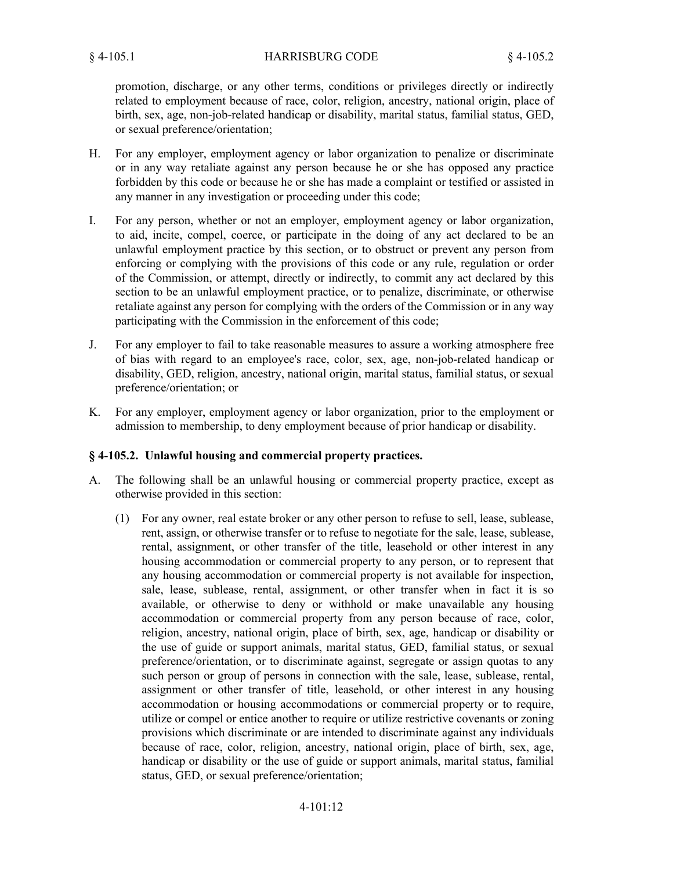promotion, discharge, or any other terms, conditions or privileges directly or indirectly related to employment because of race, color, religion, ancestry, national origin, place of birth, sex, age, non-job-related handicap or disability, marital status, familial status, GED, or sexual preference/orientation;

- For any employer, employment agency or labor organization to penalize or discriminate or in any way retaliate against any person because he or she has opposed any practice forbidden by this code or because he or she has made a complaint or testified or assisted in any manner in any investigation or proceeding under this code; H.
- For any person, whether or not an employer, employment agency or labor organization, to aid, incite, compel, coerce, or participate in the doing of any act declared to be an unlawful employment practice by this section, or to obstruct or prevent any person from enforcing or complying with the provisions of this code or any rule, regulation or order of the Commission, or attempt, directly or indirectly, to commit any act declared by this section to be an unlawful employment practice, or to penalize, discriminate, or otherwise retaliate against any person for complying with the orders of the Commission or in any way participating with the Commission in the enforcement of this code; I.
- For any employer to fail to take reasonable measures to assure a working atmosphere free of bias with regard to an employee's race, color, sex, age, non-job-related handicap or disability, GED, religion, ancestry, national origin, marital status, familial status, or sexual preference/orientation; or J.
- For any employer, employment agency or labor organization, prior to the employment or admission to membership, to deny employment because of prior handicap or disability. K.

### **§ 4-105.2. Unlawful housing and commercial property practices.**

- The following shall be an unlawful housing or commercial property practice, except as otherwise provided in this section: A.
	- For any owner, real estate broker or any other person to refuse to sell, lease, sublease, (1) rent, assign, or otherwise transfer or to refuse to negotiate for the sale, lease, sublease, rental, assignment, or other transfer of the title, leasehold or other interest in any housing accommodation or commercial property to any person, or to represent that any housing accommodation or commercial property is not available for inspection, sale, lease, sublease, rental, assignment, or other transfer when in fact it is so available, or otherwise to deny or withhold or make unavailable any housing accommodation or commercial property from any person because of race, color, religion, ancestry, national origin, place of birth, sex, age, handicap or disability or the use of guide or support animals, marital status, GED, familial status, or sexual preference/orientation, or to discriminate against, segregate or assign quotas to any such person or group of persons in connection with the sale, lease, sublease, rental, assignment or other transfer of title, leasehold, or other interest in any housing accommodation or housing accommodations or commercial property or to require, utilize or compel or entice another to require or utilize restrictive covenants or zoning provisions which discriminate or are intended to discriminate against any individuals because of race, color, religion, ancestry, national origin, place of birth, sex, age, handicap or disability or the use of guide or support animals, marital status, familial status, GED, or sexual preference/orientation;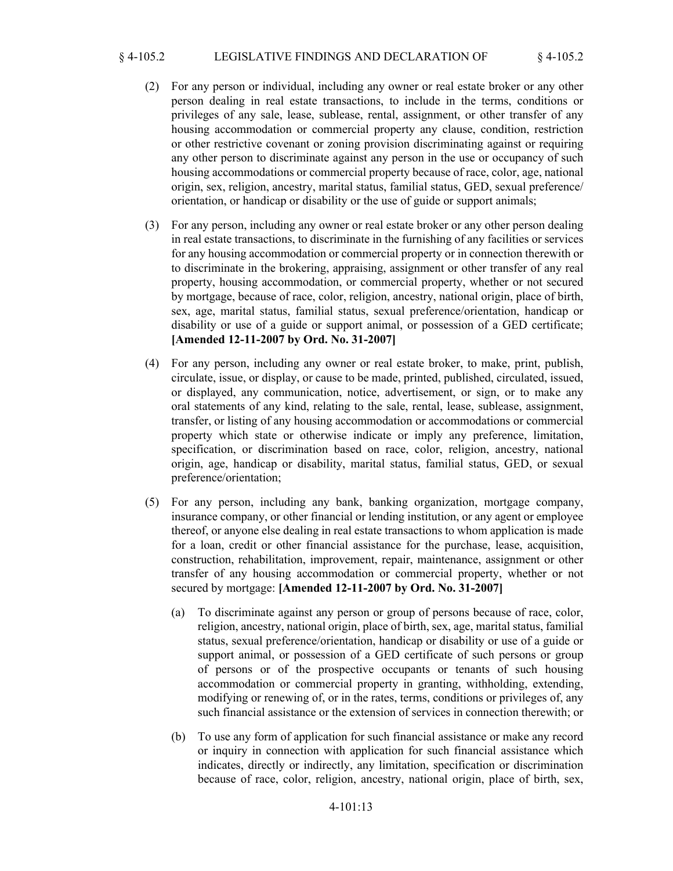### § 4-105.2 LEGISLATIVE FINDINGS AND DECLARATION OF § 4-105.2

- For any person or individual, including any owner or real estate broker or any other (2) person dealing in real estate transactions, to include in the terms, conditions or privileges of any sale, lease, sublease, rental, assignment, or other transfer of any housing accommodation or commercial property any clause, condition, restriction or other restrictive covenant or zoning provision discriminating against or requiring any other person to discriminate against any person in the use or occupancy of such housing accommodations or commercial property because of race, color, age, national origin, sex, religion, ancestry, marital status, familial status, GED, sexual preference/ orientation, or handicap or disability or the use of guide or support animals;
- For any person, including any owner or real estate broker or any other person dealing (3) in real estate transactions, to discriminate in the furnishing of any facilities or services for any housing accommodation or commercial property or in connection therewith or to discriminate in the brokering, appraising, assignment or other transfer of any real property, housing accommodation, or commercial property, whether or not secured by mortgage, because of race, color, religion, ancestry, national origin, place of birth, sex, age, marital status, familial status, sexual preference/orientation, handicap or disability or use of a guide or support animal, or possession of a GED certificate; **[Amended 12-11-2007 by Ord. No. 31-2007]**
- For any person, including any owner or real estate broker, to make, print, publish, (4) circulate, issue, or display, or cause to be made, printed, published, circulated, issued, or displayed, any communication, notice, advertisement, or sign, or to make any oral statements of any kind, relating to the sale, rental, lease, sublease, assignment, transfer, or listing of any housing accommodation or accommodations or commercial property which state or otherwise indicate or imply any preference, limitation, specification, or discrimination based on race, color, religion, ancestry, national origin, age, handicap or disability, marital status, familial status, GED, or sexual preference/orientation;
- For any person, including any bank, banking organization, mortgage company, (5) insurance company, or other financial or lending institution, or any agent or employee thereof, or anyone else dealing in real estate transactions to whom application is made for a loan, credit or other financial assistance for the purchase, lease, acquisition, construction, rehabilitation, improvement, repair, maintenance, assignment or other transfer of any housing accommodation or commercial property, whether or not secured by mortgage: **[Amended 12-11-2007 by Ord. No. 31-2007]**
	- To discriminate against any person or group of persons because of race, color, religion, ancestry, national origin, place of birth, sex, age, marital status, familial status, sexual preference/orientation, handicap or disability or use of a guide or support animal, or possession of a GED certificate of such persons or group of persons or of the prospective occupants or tenants of such housing accommodation or commercial property in granting, withholding, extending, modifying or renewing of, or in the rates, terms, conditions or privileges of, any such financial assistance or the extension of services in connection therewith; or (a)
	- To use any form of application for such financial assistance or make any record (b) or inquiry in connection with application for such financial assistance which indicates, directly or indirectly, any limitation, specification or discrimination because of race, color, religion, ancestry, national origin, place of birth, sex,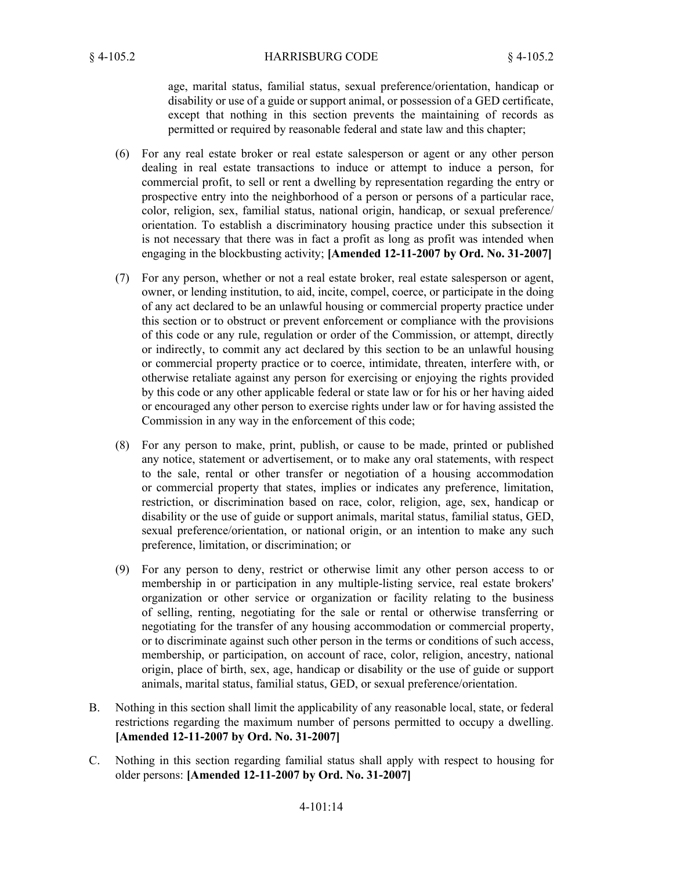age, marital status, familial status, sexual preference/orientation, handicap or disability or use of a guide or support animal, or possession of a GED certificate, except that nothing in this section prevents the maintaining of records as permitted or required by reasonable federal and state law and this chapter;

- For any real estate broker or real estate salesperson or agent or any other person (6) dealing in real estate transactions to induce or attempt to induce a person, for commercial profit, to sell or rent a dwelling by representation regarding the entry or prospective entry into the neighborhood of a person or persons of a particular race, color, religion, sex, familial status, national origin, handicap, or sexual preference/ orientation. To establish a discriminatory housing practice under this subsection it is not necessary that there was in fact a profit as long as profit was intended when engaging in the blockbusting activity; **[Amended 12-11-2007 by Ord. No. 31-2007]**
- For any person, whether or not a real estate broker, real estate salesperson or agent, (7) owner, or lending institution, to aid, incite, compel, coerce, or participate in the doing of any act declared to be an unlawful housing or commercial property practice under this section or to obstruct or prevent enforcement or compliance with the provisions of this code or any rule, regulation or order of the Commission, or attempt, directly or indirectly, to commit any act declared by this section to be an unlawful housing or commercial property practice or to coerce, intimidate, threaten, interfere with, or otherwise retaliate against any person for exercising or enjoying the rights provided by this code or any other applicable federal or state law or for his or her having aided or encouraged any other person to exercise rights under law or for having assisted the Commission in any way in the enforcement of this code;
- For any person to make, print, publish, or cause to be made, printed or published (8) any notice, statement or advertisement, or to make any oral statements, with respect to the sale, rental or other transfer or negotiation of a housing accommodation or commercial property that states, implies or indicates any preference, limitation, restriction, or discrimination based on race, color, religion, age, sex, handicap or disability or the use of guide or support animals, marital status, familial status, GED, sexual preference/orientation, or national origin, or an intention to make any such preference, limitation, or discrimination; or
- For any person to deny, restrict or otherwise limit any other person access to or (9) membership in or participation in any multiple-listing service, real estate brokers' organization or other service or organization or facility relating to the business of selling, renting, negotiating for the sale or rental or otherwise transferring or negotiating for the transfer of any housing accommodation or commercial property, or to discriminate against such other person in the terms or conditions of such access, membership, or participation, on account of race, color, religion, ancestry, national origin, place of birth, sex, age, handicap or disability or the use of guide or support animals, marital status, familial status, GED, or sexual preference/orientation.
- Nothing in this section shall limit the applicability of any reasonable local, state, or federal restrictions regarding the maximum number of persons permitted to occupy a dwelling. **[Amended 12-11-2007 by Ord. No. 31-2007]** B.
- Nothing in this section regarding familial status shall apply with respect to housing for older persons: **[Amended 12-11-2007 by Ord. No. 31-2007]** C.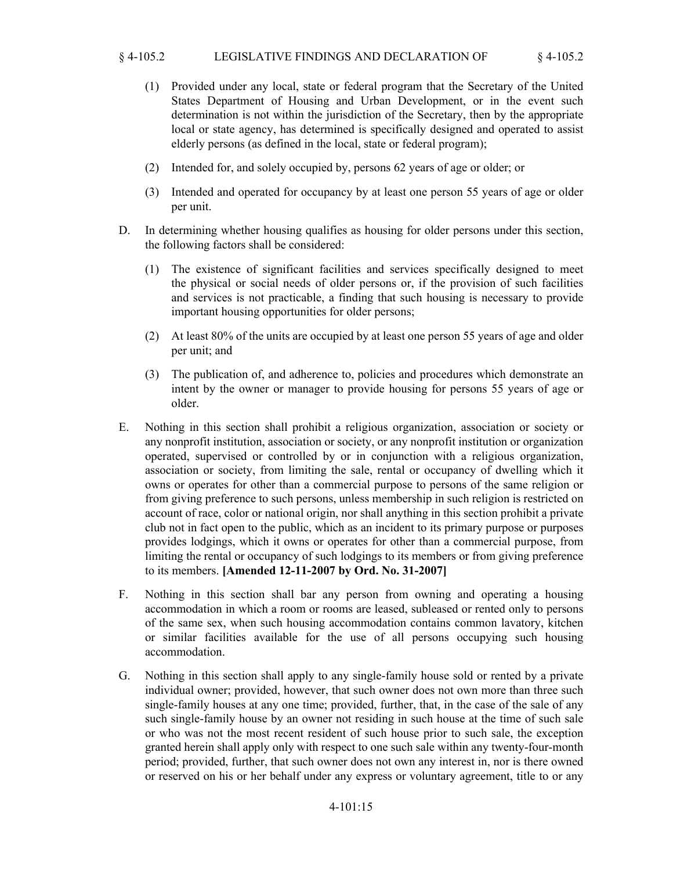## § 4-105.2 LEGISLATIVE FINDINGS AND DECLARATION OF § 4-105.2

- Provided under any local, state or federal program that the Secretary of the United (1) States Department of Housing and Urban Development, or in the event such determination is not within the jurisdiction of the Secretary, then by the appropriate local or state agency, has determined is specifically designed and operated to assist elderly persons (as defined in the local, state or federal program);
- (2) Intended for, and solely occupied by, persons 62 years of age or older; or
- (3) Intended and operated for occupancy by at least one person 55 years of age or older per unit.
- In determining whether housing qualifies as housing for older persons under this section, the following factors shall be considered: D.
	- (1) The existence of significant facilities and services specifically designed to meet the physical or social needs of older persons or, if the provision of such facilities and services is not practicable, a finding that such housing is necessary to provide important housing opportunities for older persons;
	- At least 80% of the units are occupied by at least one person 55 years of age and older (2) per unit; and
	- (3) The publication of, and adherence to, policies and procedures which demonstrate an intent by the owner or manager to provide housing for persons 55 years of age or older.
- Nothing in this section shall prohibit a religious organization, association or society or any nonprofit institution, association or society, or any nonprofit institution or organization operated, supervised or controlled by or in conjunction with a religious organization, association or society, from limiting the sale, rental or occupancy of dwelling which it owns or operates for other than a commercial purpose to persons of the same religion or from giving preference to such persons, unless membership in such religion is restricted on account of race, color or national origin, nor shall anything in this section prohibit a private club not in fact open to the public, which as an incident to its primary purpose or purposes provides lodgings, which it owns or operates for other than a commercial purpose, from limiting the rental or occupancy of such lodgings to its members or from giving preference to its members. **[Amended 12-11-2007 by Ord. No. 31-2007]** E.
- Nothing in this section shall bar any person from owning and operating a housing accommodation in which a room or rooms are leased, subleased or rented only to persons of the same sex, when such housing accommodation contains common lavatory, kitchen or similar facilities available for the use of all persons occupying such housing accommodation. F.
- Nothing in this section shall apply to any single-family house sold or rented by a private individual owner; provided, however, that such owner does not own more than three such single-family houses at any one time; provided, further, that, in the case of the sale of any such single-family house by an owner not residing in such house at the time of such sale or who was not the most recent resident of such house prior to such sale, the exception granted herein shall apply only with respect to one such sale within any twenty-four-month period; provided, further, that such owner does not own any interest in, nor is there owned or reserved on his or her behalf under any express or voluntary agreement, title to or any G.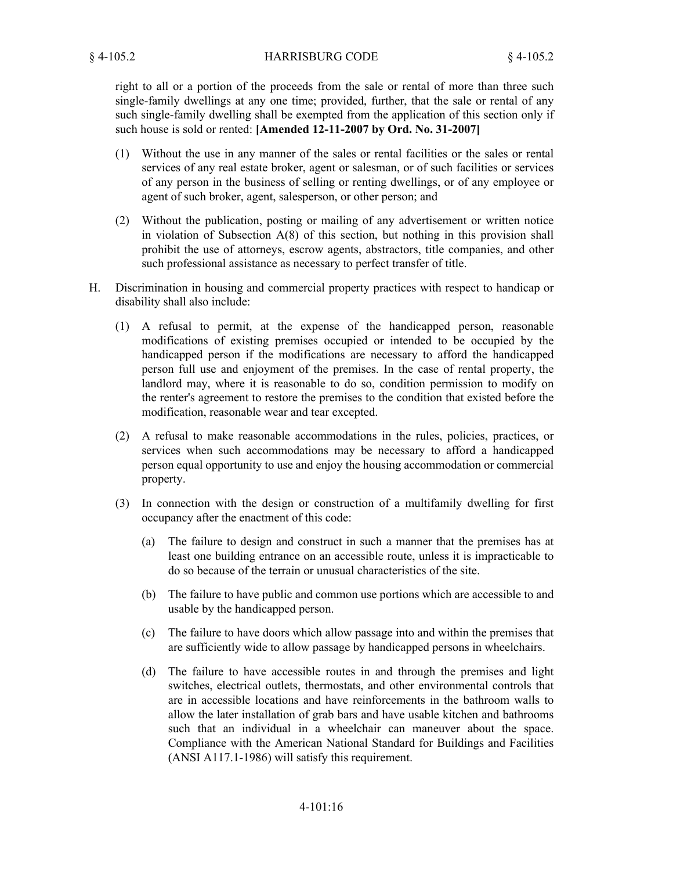right to all or a portion of the proceeds from the sale or rental of more than three such single-family dwellings at any one time; provided, further, that the sale or rental of any such single-family dwelling shall be exempted from the application of this section only if such house is sold or rented: **[Amended 12-11-2007 by Ord. No. 31-2007]**

- Without the use in any manner of the sales or rental facilities or the sales or rental (1) services of any real estate broker, agent or salesman, or of such facilities or services of any person in the business of selling or renting dwellings, or of any employee or agent of such broker, agent, salesperson, or other person; and
- Without the publication, posting or mailing of any advertisement or written notice (2) in violation of Subsection A(8) of this section, but nothing in this provision shall prohibit the use of attorneys, escrow agents, abstractors, title companies, and other such professional assistance as necessary to perfect transfer of title.
- Discrimination in housing and commercial property practices with respect to handicap or disability shall also include: H.
	- A refusal to permit, at the expense of the handicapped person, reasonable (1) modifications of existing premises occupied or intended to be occupied by the handicapped person if the modifications are necessary to afford the handicapped person full use and enjoyment of the premises. In the case of rental property, the landlord may, where it is reasonable to do so, condition permission to modify on the renter's agreement to restore the premises to the condition that existed before the modification, reasonable wear and tear excepted.
	- A refusal to make reasonable accommodations in the rules, policies, practices, or (2) services when such accommodations may be necessary to afford a handicapped person equal opportunity to use and enjoy the housing accommodation or commercial property.
	- (3) In connection with the design or construction of a multifamily dwelling for first occupancy after the enactment of this code:
		- The failure to design and construct in such a manner that the premises has at least one building entrance on an accessible route, unless it is impracticable to do so because of the terrain or unusual characteristics of the site. (a)
		- The failure to have public and common use portions which are accessible to and (b) usable by the handicapped person.
		- The failure to have doors which allow passage into and within the premises that (c) are sufficiently wide to allow passage by handicapped persons in wheelchairs.
		- (d) The failure to have accessible routes in and through the premises and light switches, electrical outlets, thermostats, and other environmental controls that are in accessible locations and have reinforcements in the bathroom walls to allow the later installation of grab bars and have usable kitchen and bathrooms such that an individual in a wheelchair can maneuver about the space. Compliance with the American National Standard for Buildings and Facilities (ANSI A117.1-1986) will satisfy this requirement.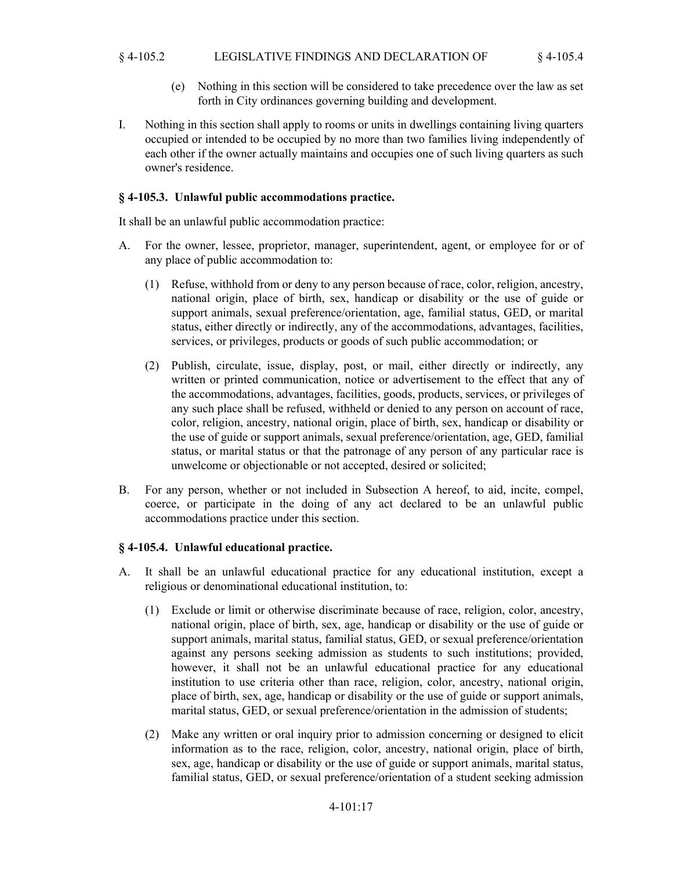## § 4-105.2 LEGISLATIVE FINDINGS AND DECLARATION OF § 4-105.4

- Nothing in this section will be considered to take precedence over the law as set (e) forth in City ordinances governing building and development.
- Nothing in this section shall apply to rooms or units in dwellings containing living quarters occupied or intended to be occupied by no more than two families living independently of each other if the owner actually maintains and occupies one of such living quarters as such owner's residence. I.

## **§ 4-105.3. Unlawful public accommodations practice.**

It shall be an unlawful public accommodation practice:

- A. For the owner, lessee, proprietor, manager, superintendent, agent, or employee for or of any place of public accommodation to:
	- Refuse, withhold from or deny to any person because of race, color, religion, ancestry, (1) national origin, place of birth, sex, handicap or disability or the use of guide or support animals, sexual preference/orientation, age, familial status, GED, or marital status, either directly or indirectly, any of the accommodations, advantages, facilities, services, or privileges, products or goods of such public accommodation; or
	- Publish, circulate, issue, display, post, or mail, either directly or indirectly, any (2) written or printed communication, notice or advertisement to the effect that any of the accommodations, advantages, facilities, goods, products, services, or privileges of any such place shall be refused, withheld or denied to any person on account of race, color, religion, ancestry, national origin, place of birth, sex, handicap or disability or the use of guide or support animals, sexual preference/orientation, age, GED, familial status, or marital status or that the patronage of any person of any particular race is unwelcome or objectionable or not accepted, desired or solicited;
- For any person, whether or not included in Subsection A hereof, to aid, incite, compel, coerce, or participate in the doing of any act declared to be an unlawful public accommodations practice under this section. B.

# **§ 4-105.4. Unlawful educational practice.**

- It shall be an unlawful educational practice for any educational institution, except a religious or denominational educational institution, to: A.
	- Exclude or limit or otherwise discriminate because of race, religion, color, ancestry, (1) national origin, place of birth, sex, age, handicap or disability or the use of guide or support animals, marital status, familial status, GED, or sexual preference/orientation against any persons seeking admission as students to such institutions; provided, however, it shall not be an unlawful educational practice for any educational institution to use criteria other than race, religion, color, ancestry, national origin, place of birth, sex, age, handicap or disability or the use of guide or support animals, marital status, GED, or sexual preference/orientation in the admission of students;
	- (2) Make any written or oral inquiry prior to admission concerning or designed to elicit information as to the race, religion, color, ancestry, national origin, place of birth, sex, age, handicap or disability or the use of guide or support animals, marital status, familial status, GED, or sexual preference/orientation of a student seeking admission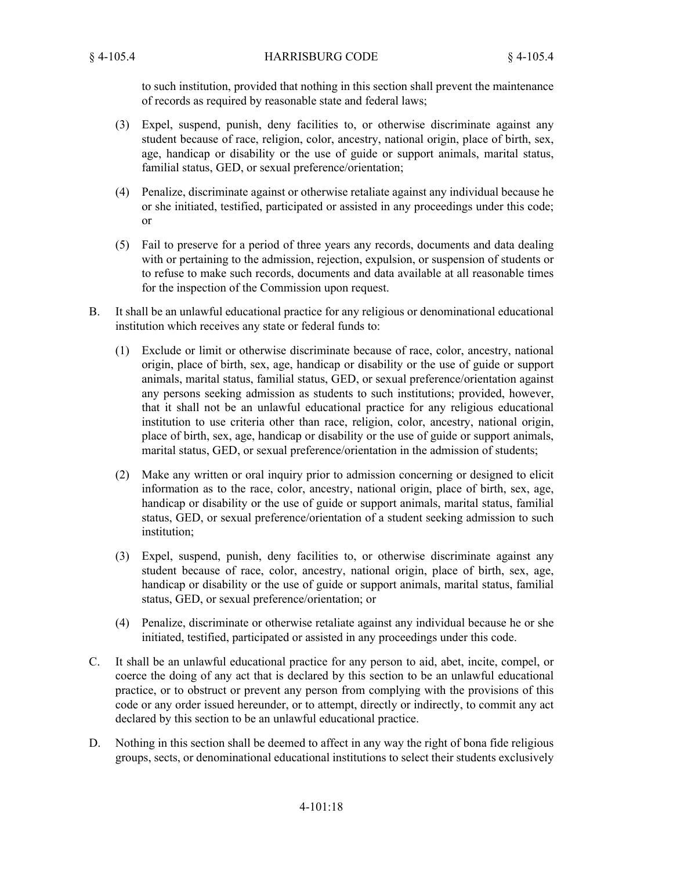to such institution, provided that nothing in this section shall prevent the maintenance of records as required by reasonable state and federal laws;

- Expel, suspend, punish, deny facilities to, or otherwise discriminate against any (3) student because of race, religion, color, ancestry, national origin, place of birth, sex, age, handicap or disability or the use of guide or support animals, marital status, familial status, GED, or sexual preference/orientation;
- Penalize, discriminate against or otherwise retaliate against any individual because he (4) or she initiated, testified, participated or assisted in any proceedings under this code; or
- Fail to preserve for a period of three years any records, documents and data dealing (5) with or pertaining to the admission, rejection, expulsion, or suspension of students or to refuse to make such records, documents and data available at all reasonable times for the inspection of the Commission upon request.
- It shall be an unlawful educational practice for any religious or denominational educational institution which receives any state or federal funds to: B.
	- Exclude or limit or otherwise discriminate because of race, color, ancestry, national (1) origin, place of birth, sex, age, handicap or disability or the use of guide or support animals, marital status, familial status, GED, or sexual preference/orientation against any persons seeking admission as students to such institutions; provided, however, that it shall not be an unlawful educational practice for any religious educational institution to use criteria other than race, religion, color, ancestry, national origin, place of birth, sex, age, handicap or disability or the use of guide or support animals, marital status, GED, or sexual preference/orientation in the admission of students;
	- (2) Make any written or oral inquiry prior to admission concerning or designed to elicit information as to the race, color, ancestry, national origin, place of birth, sex, age, handicap or disability or the use of guide or support animals, marital status, familial status, GED, or sexual preference/orientation of a student seeking admission to such institution;
	- Expel, suspend, punish, deny facilities to, or otherwise discriminate against any (3) student because of race, color, ancestry, national origin, place of birth, sex, age, handicap or disability or the use of guide or support animals, marital status, familial status, GED, or sexual preference/orientation; or
	- Penalize, discriminate or otherwise retaliate against any individual because he or she (4) initiated, testified, participated or assisted in any proceedings under this code.
- It shall be an unlawful educational practice for any person to aid, abet, incite, compel, or coerce the doing of any act that is declared by this section to be an unlawful educational practice, or to obstruct or prevent any person from complying with the provisions of this code or any order issued hereunder, or to attempt, directly or indirectly, to commit any act declared by this section to be an unlawful educational practice. C.
- Nothing in this section shall be deemed to affect in any way the right of bona fide religious groups, sects, or denominational educational institutions to select their students exclusively D.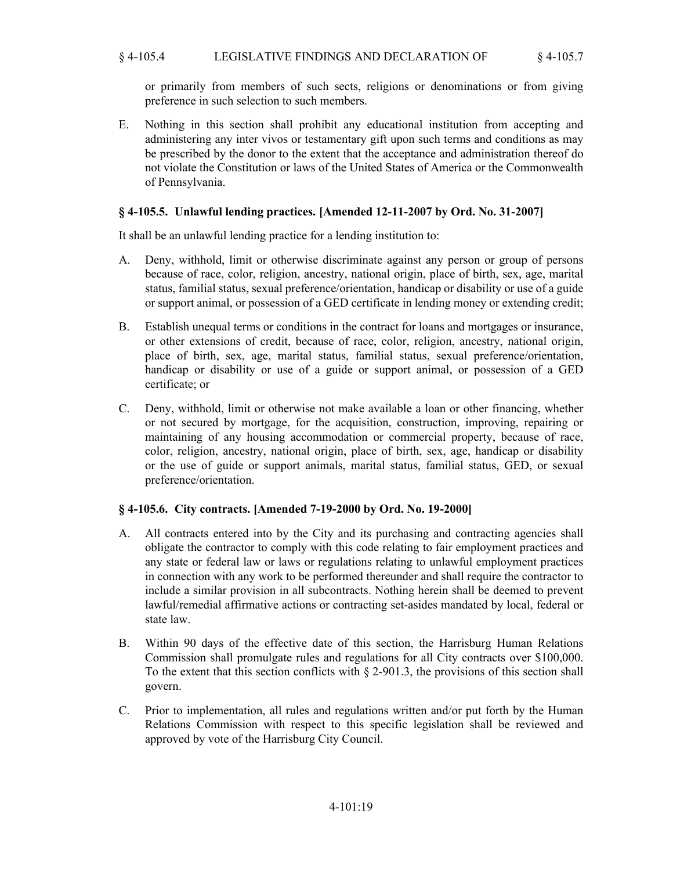## § 4-105.4 LEGISLATIVE FINDINGS AND DECLARATION OF § 4-105.7

or primarily from members of such sects, religions or denominations or from giving preference in such selection to such members.

Nothing in this section shall prohibit any educational institution from accepting and administering any inter vivos or testamentary gift upon such terms and conditions as may be prescribed by the donor to the extent that the acceptance and administration thereof do not violate the Constitution or laws of the United States of America or the Commonwealth of Pennsylvania. E.

## **§ 4-105.5. Unlawful lending practices. [Amended 12-11-2007 by Ord. No. 31-2007]**

It shall be an unlawful lending practice for a lending institution to:

- Deny, withhold, limit or otherwise discriminate against any person or group of persons because of race, color, religion, ancestry, national origin, place of birth, sex, age, marital status, familial status, sexual preference/orientation, handicap or disability or use of a guide or support animal, or possession of a GED certificate in lending money or extending credit; A.
- Establish unequal terms or conditions in the contract for loans and mortgages or insurance, or other extensions of credit, because of race, color, religion, ancestry, national origin, place of birth, sex, age, marital status, familial status, sexual preference/orientation, handicap or disability or use of a guide or support animal, or possession of a GED certificate; or B.
- Deny, withhold, limit or otherwise not make available a loan or other financing, whether or not secured by mortgage, for the acquisition, construction, improving, repairing or maintaining of any housing accommodation or commercial property, because of race, color, religion, ancestry, national origin, place of birth, sex, age, handicap or disability or the use of guide or support animals, marital status, familial status, GED, or sexual preference/orientation. C.

### **§ 4-105.6. City contracts. [Amended 7-19-2000 by Ord. No. 19-2000]**

- All contracts entered into by the City and its purchasing and contracting agencies shall A. obligate the contractor to comply with this code relating to fair employment practices and any state or federal law or laws or regulations relating to unlawful employment practices in connection with any work to be performed thereunder and shall require the contractor to include a similar provision in all subcontracts. Nothing herein shall be deemed to prevent lawful/remedial affirmative actions or contracting set-asides mandated by local, federal or state law.
- Within 90 days of the effective date of this section, the Harrisburg Human Relations Commission shall promulgate rules and regulations for all City contracts over \$100,000. To the extent that this section conflicts with § 2-901.3, the provisions of this section shall govern. B.
- Prior to implementation, all rules and regulations written and/or put forth by the Human Relations Commission with respect to this specific legislation shall be reviewed and approved by vote of the Harrisburg City Council. C.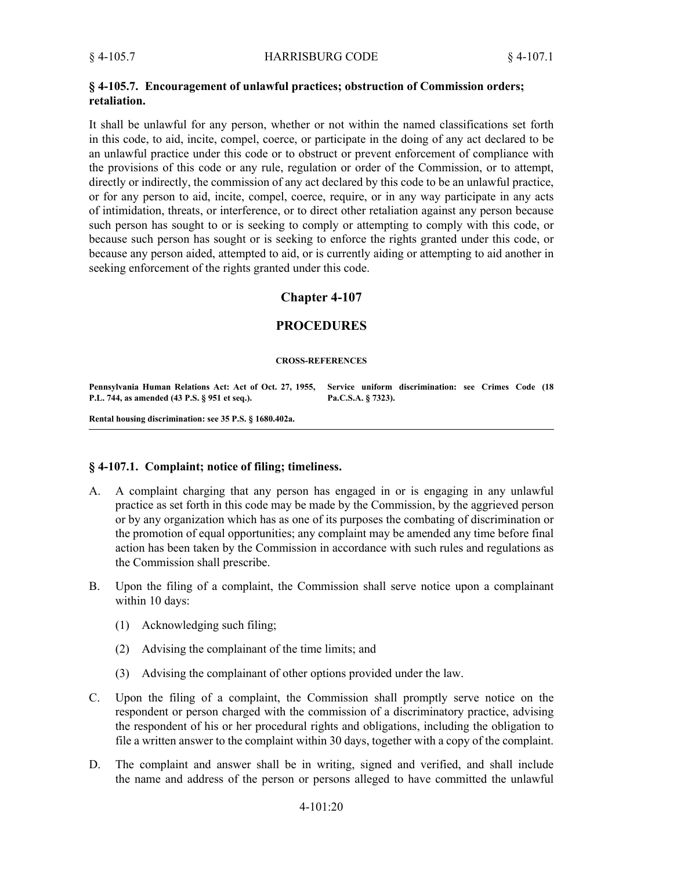### **§ 4-105.7. Encouragement of unlawful practices; obstruction of Commission orders; retaliation.**

It shall be unlawful for any person, whether or not within the named classifications set forth in this code, to aid, incite, compel, coerce, or participate in the doing of any act declared to be an unlawful practice under this code or to obstruct or prevent enforcement of compliance with the provisions of this code or any rule, regulation or order of the Commission, or to attempt, directly or indirectly, the commission of any act declared by this code to be an unlawful practice, or for any person to aid, incite, compel, coerce, require, or in any way participate in any acts of intimidation, threats, or interference, or to direct other retaliation against any person because such person has sought to or is seeking to comply or attempting to comply with this code, or because such person has sought or is seeking to enforce the rights granted under this code, or because any person aided, attempted to aid, or is currently aiding or attempting to aid another in seeking enforcement of the rights granted under this code.

# **Chapter 4-107**

# **PROCEDURES**

#### **CROSS-REFERENCES**

**Pennsylvania Human Relations Act: Act of Oct. 27, 1955, Service uniform discrimination: see Crimes Code (18 P.L. 744, as amended (43 P.S. § 951 et seq.). Pa.C.S.A. § 7323).**

**Rental housing discrimination: see 35 P.S. § 1680.402a.**

### **§ 4-107.1. Complaint; notice of filing; timeliness.**

- A complaint charging that any person has engaged in or is engaging in any unlawful practice as set forth in this code may be made by the Commission, by the aggrieved person or by any organization which has as one of its purposes the combating of discrimination or the promotion of equal opportunities; any complaint may be amended any time before final action has been taken by the Commission in accordance with such rules and regulations as the Commission shall prescribe. A.
- Upon the filing of a complaint, the Commission shall serve notice upon a complainant within 10 days: B.
	- (1) Acknowledging such filing;
	- (2) Advising the complainant of the time limits; and
	- (3) Advising the complainant of other options provided under the law.
- Upon the filing of a complaint, the Commission shall promptly serve notice on the respondent or person charged with the commission of a discriminatory practice, advising the respondent of his or her procedural rights and obligations, including the obligation to file a written answer to the complaint within 30 days, together with a copy of the complaint. C.
- The complaint and answer shall be in writing, signed and verified, and shall include the name and address of the person or persons alleged to have committed the unlawful D.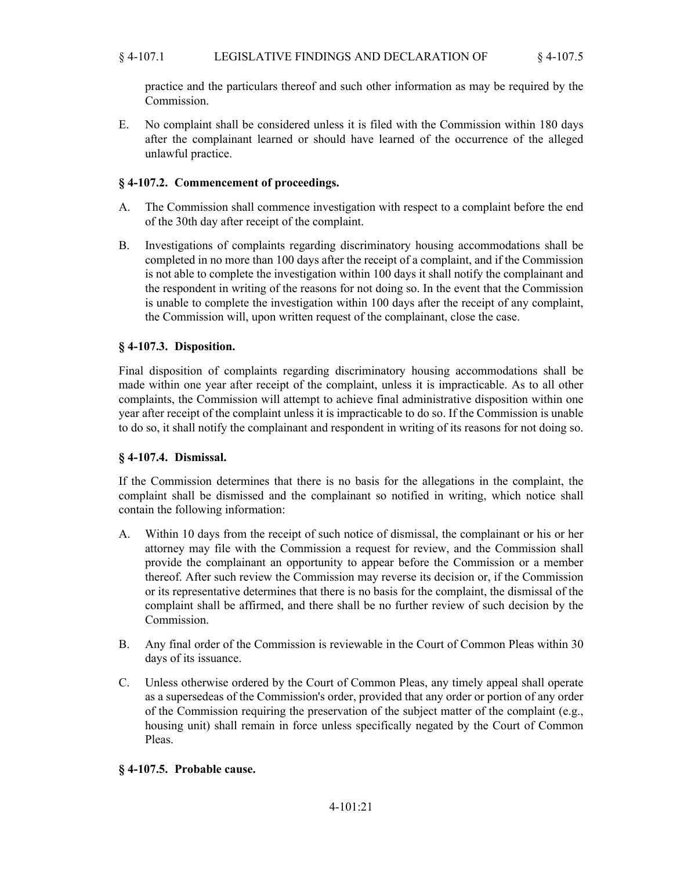# § 4-107.1 LEGISLATIVE FINDINGS AND DECLARATION OF § 4-107.5

practice and the particulars thereof and such other information as may be required by the Commission.

No complaint shall be considered unless it is filed with the Commission within 180 days after the complainant learned or should have learned of the occurrence of the alleged unlawful practice. E.

# **§ 4-107.2. Commencement of proceedings.**

- The Commission shall commence investigation with respect to a complaint before the end of the 30th day after receipt of the complaint. A.
- Investigations of complaints regarding discriminatory housing accommodations shall be completed in no more than 100 days after the receipt of a complaint, and if the Commission is not able to complete the investigation within 100 days it shall notify the complainant and the respondent in writing of the reasons for not doing so. In the event that the Commission is unable to complete the investigation within 100 days after the receipt of any complaint, the Commission will, upon written request of the complainant, close the case. B.

## **§ 4-107.3. Disposition.**

Final disposition of complaints regarding discriminatory housing accommodations shall be made within one year after receipt of the complaint, unless it is impracticable. As to all other complaints, the Commission will attempt to achieve final administrative disposition within one year after receipt of the complaint unless it is impracticable to do so. If the Commission is unable to do so, it shall notify the complainant and respondent in writing of its reasons for not doing so.

# **§ 4-107.4. Dismissal.**

If the Commission determines that there is no basis for the allegations in the complaint, the complaint shall be dismissed and the complainant so notified in writing, which notice shall contain the following information:

- Within 10 days from the receipt of such notice of dismissal, the complainant or his or her attorney may file with the Commission a request for review, and the Commission shall provide the complainant an opportunity to appear before the Commission or a member thereof. After such review the Commission may reverse its decision or, if the Commission or its representative determines that there is no basis for the complaint, the dismissal of the complaint shall be affirmed, and there shall be no further review of such decision by the Commission. A.
- Any final order of the Commission is reviewable in the Court of Common Pleas within 30 days of its issuance. B.
- Unless otherwise ordered by the Court of Common Pleas, any timely appeal shall operate as a supersedeas of the Commission's order, provided that any order or portion of any order of the Commission requiring the preservation of the subject matter of the complaint (e.g., housing unit) shall remain in force unless specifically negated by the Court of Common Pleas. C.

# **§ 4-107.5. Probable cause.**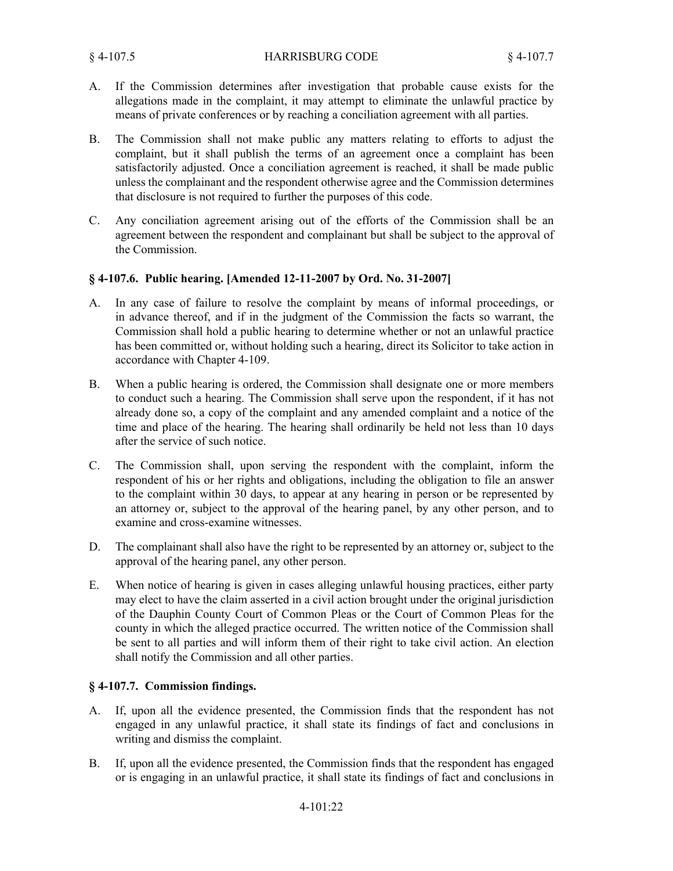- If the Commission determines after investigation that probable cause exists for the allegations made in the complaint, it may attempt to eliminate the unlawful practice by means of private conferences or by reaching a conciliation agreement with all parties. A.
- The Commission shall not make public any matters relating to efforts to adjust the complaint, but it shall publish the terms of an agreement once a complaint has been satisfactorily adjusted. Once a conciliation agreement is reached, it shall be made public unless the complainant and the respondent otherwise agree and the Commission determines that disclosure is not required to further the purposes of this code. B.
- Any conciliation agreement arising out of the efforts of the Commission shall be an agreement between the respondent and complainant but shall be subject to the approval of the Commission.  $C<sub>1</sub>$

## **§ 4-107.6. Public hearing. [Amended 12-11-2007 by Ord. No. 31-2007]**

- In any case of failure to resolve the complaint by means of informal proceedings, or in advance thereof, and if in the judgment of the Commission the facts so warrant, the Commission shall hold a public hearing to determine whether or not an unlawful practice has been committed or, without holding such a hearing, direct its Solicitor to take action in accordance with Chapter 4-109. A.
- When a public hearing is ordered, the Commission shall designate one or more members to conduct such a hearing. The Commission shall serve upon the respondent, if it has not already done so, a copy of the complaint and any amended complaint and a notice of the time and place of the hearing. The hearing shall ordinarily be held not less than 10 days after the service of such notice. B.
- The Commission shall, upon serving the respondent with the complaint, inform the respondent of his or her rights and obligations, including the obligation to file an answer to the complaint within 30 days, to appear at any hearing in person or be represented by an attorney or, subject to the approval of the hearing panel, by any other person, and to examine and cross-examine witnesses. C.
- The complainant shall also have the right to be represented by an attorney or, subject to the approval of the hearing panel, any other person. D.
- When notice of hearing is given in cases alleging unlawful housing practices, either party may elect to have the claim asserted in a civil action brought under the original jurisdiction of the Dauphin County Court of Common Pleas or the Court of Common Pleas for the county in which the alleged practice occurred. The written notice of the Commission shall be sent to all parties and will inform them of their right to take civil action. An election shall notify the Commission and all other parties. E.

# **§ 4-107.7. Commission findings.**

- If, upon all the evidence presented, the Commission finds that the respondent has not engaged in any unlawful practice, it shall state its findings of fact and conclusions in writing and dismiss the complaint. A.
- If, upon all the evidence presented, the Commission finds that the respondent has engaged or is engaging in an unlawful practice, it shall state its findings of fact and conclusions in B.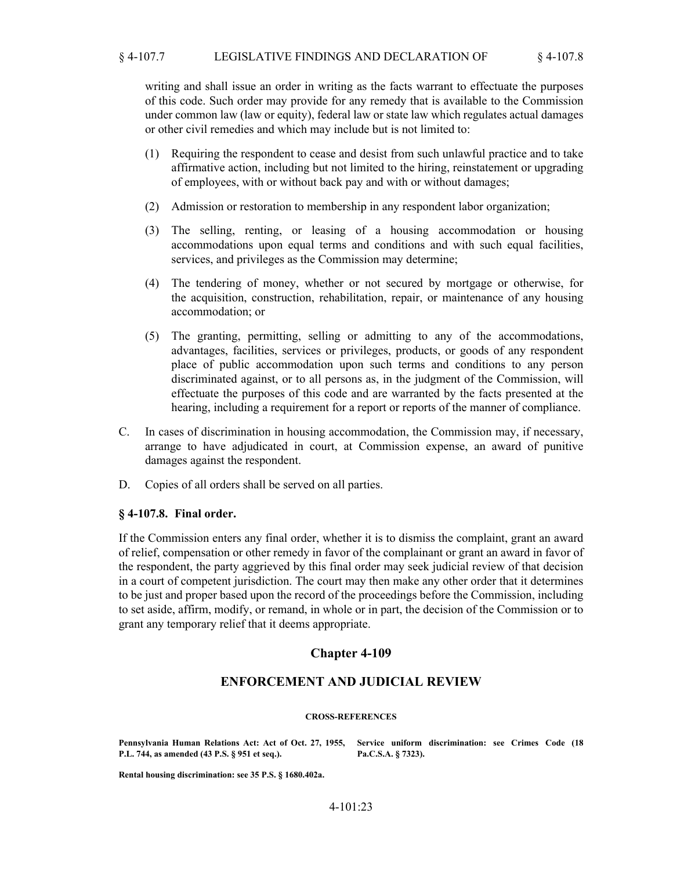### § 4-107.7 LEGISLATIVE FINDINGS AND DECLARATION OF § 4-107.8

writing and shall issue an order in writing as the facts warrant to effectuate the purposes of this code. Such order may provide for any remedy that is available to the Commission under common law (law or equity), federal law or state law which regulates actual damages or other civil remedies and which may include but is not limited to:

- (1) Requiring the respondent to cease and desist from such unlawful practice and to take affirmative action, including but not limited to the hiring, reinstatement or upgrading of employees, with or without back pay and with or without damages;
- (2) Admission or restoration to membership in any respondent labor organization;
- (3) The selling, renting, or leasing of a housing accommodation or housing accommodations upon equal terms and conditions and with such equal facilities, services, and privileges as the Commission may determine;
- (4) The tendering of money, whether or not secured by mortgage or otherwise, for the acquisition, construction, rehabilitation, repair, or maintenance of any housing accommodation; or
- (5) The granting, permitting, selling or admitting to any of the accommodations, advantages, facilities, services or privileges, products, or goods of any respondent place of public accommodation upon such terms and conditions to any person discriminated against, or to all persons as, in the judgment of the Commission, will effectuate the purposes of this code and are warranted by the facts presented at the hearing, including a requirement for a report or reports of the manner of compliance.
- In cases of discrimination in housing accommodation, the Commission may, if necessary, arrange to have adjudicated in court, at Commission expense, an award of punitive damages against the respondent. C.
- D. Copies of all orders shall be served on all parties.

### **§ 4-107.8. Final order.**

If the Commission enters any final order, whether it is to dismiss the complaint, grant an award of relief, compensation or other remedy in favor of the complainant or grant an award in favor of the respondent, the party aggrieved by this final order may seek judicial review of that decision in a court of competent jurisdiction. The court may then make any other order that it determines to be just and proper based upon the record of the proceedings before the Commission, including to set aside, affirm, modify, or remand, in whole or in part, the decision of the Commission or to grant any temporary relief that it deems appropriate.

### **Chapter 4-109**

### **ENFORCEMENT AND JUDICIAL REVIEW**

#### **CROSS-REFERENCES**

**P.L. 744, as amended (43 P.S. § 951 et seq.).**

**Pennsylvania Human Relations Act: Act of Oct. 27, 1955, Service uniform discrimination: see Crimes Code (18 Pa.C.S.A. § 7323).**

**Rental housing discrimination: see 35 P.S. § 1680.402a.**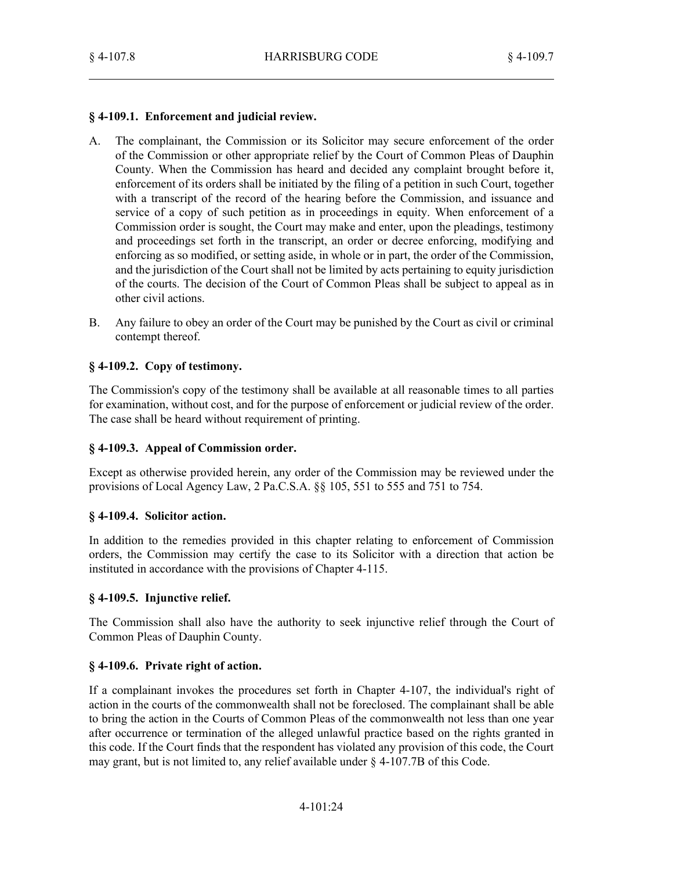## **§ 4-109.1. Enforcement and judicial review.**

- The complainant, the Commission or its Solicitor may secure enforcement of the order of the Commission or other appropriate relief by the Court of Common Pleas of Dauphin County. When the Commission has heard and decided any complaint brought before it, enforcement of its orders shall be initiated by the filing of a petition in such Court, together with a transcript of the record of the hearing before the Commission, and issuance and service of a copy of such petition as in proceedings in equity. When enforcement of a Commission order is sought, the Court may make and enter, upon the pleadings, testimony and proceedings set forth in the transcript, an order or decree enforcing, modifying and enforcing as so modified, or setting aside, in whole or in part, the order of the Commission, and the jurisdiction of the Court shall not be limited by acts pertaining to equity jurisdiction of the courts. The decision of the Court of Common Pleas shall be subject to appeal as in other civil actions. A.
- Any failure to obey an order of the Court may be punished by the Court as civil or criminal contempt thereof. B.

## **§ 4-109.2. Copy of testimony.**

The Commission's copy of the testimony shall be available at all reasonable times to all parties for examination, without cost, and for the purpose of enforcement or judicial review of the order. The case shall be heard without requirement of printing.

### **§ 4-109.3. Appeal of Commission order.**

Except as otherwise provided herein, any order of the Commission may be reviewed under the provisions of Local Agency Law, 2 Pa.C.S.A. §§ 105, 551 to 555 and 751 to 754.

### **§ 4-109.4. Solicitor action.**

In addition to the remedies provided in this chapter relating to enforcement of Commission orders, the Commission may certify the case to its Solicitor with a direction that action be instituted in accordance with the provisions of Chapter 4-115.

### **§ 4-109.5. Injunctive relief.**

The Commission shall also have the authority to seek injunctive relief through the Court of Common Pleas of Dauphin County.

### **§ 4-109.6. Private right of action.**

If a complainant invokes the procedures set forth in Chapter 4-107, the individual's right of action in the courts of the commonwealth shall not be foreclosed. The complainant shall be able to bring the action in the Courts of Common Pleas of the commonwealth not less than one year after occurrence or termination of the alleged unlawful practice based on the rights granted in this code. If the Court finds that the respondent has violated any provision of this code, the Court may grant, but is not limited to, any relief available under § 4-107.7B of this Code.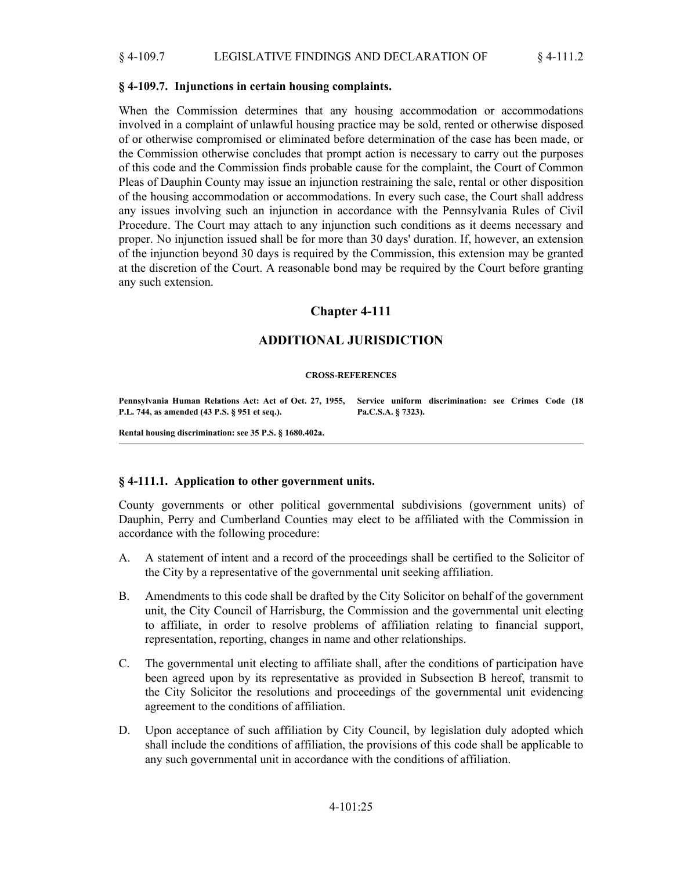#### **§ 4-109.7. Injunctions in certain housing complaints.**

When the Commission determines that any housing accommodation or accommodations involved in a complaint of unlawful housing practice may be sold, rented or otherwise disposed of or otherwise compromised or eliminated before determination of the case has been made, or the Commission otherwise concludes that prompt action is necessary to carry out the purposes of this code and the Commission finds probable cause for the complaint, the Court of Common Pleas of Dauphin County may issue an injunction restraining the sale, rental or other disposition of the housing accommodation or accommodations. In every such case, the Court shall address any issues involving such an injunction in accordance with the Pennsylvania Rules of Civil Procedure. The Court may attach to any injunction such conditions as it deems necessary and proper. No injunction issued shall be for more than 30 days' duration. If, however, an extension of the injunction beyond 30 days is required by the Commission, this extension may be granted at the discretion of the Court. A reasonable bond may be required by the Court before granting any such extension.

# **Chapter 4-111**

# **ADDITIONAL JURISDICTION**

#### **CROSS-REFERENCES**

**Pennsylvania Human Relations Act: Act of Oct. 27, 1955, Service uniform discrimination: see Crimes Code (18 P.L. 744, as amended (43 P.S. § 951 et seq.).**

**Pa.C.S.A. § 7323).**

**Rental housing discrimination: see 35 P.S. § 1680.402a.**

### **§ 4-111.1. Application to other government units.**

County governments or other political governmental subdivisions (government units) of Dauphin, Perry and Cumberland Counties may elect to be affiliated with the Commission in accordance with the following procedure:

- A statement of intent and a record of the proceedings shall be certified to the Solicitor of the City by a representative of the governmental unit seeking affiliation. A.
- Amendments to this code shall be drafted by the City Solicitor on behalf of the government unit, the City Council of Harrisburg, the Commission and the governmental unit electing to affiliate, in order to resolve problems of affiliation relating to financial support, representation, reporting, changes in name and other relationships. B.
- The governmental unit electing to affiliate shall, after the conditions of participation have been agreed upon by its representative as provided in Subsection B hereof, transmit to the City Solicitor the resolutions and proceedings of the governmental unit evidencing agreement to the conditions of affiliation. C.
- Upon acceptance of such affiliation by City Council, by legislation duly adopted which shall include the conditions of affiliation, the provisions of this code shall be applicable to any such governmental unit in accordance with the conditions of affiliation. D.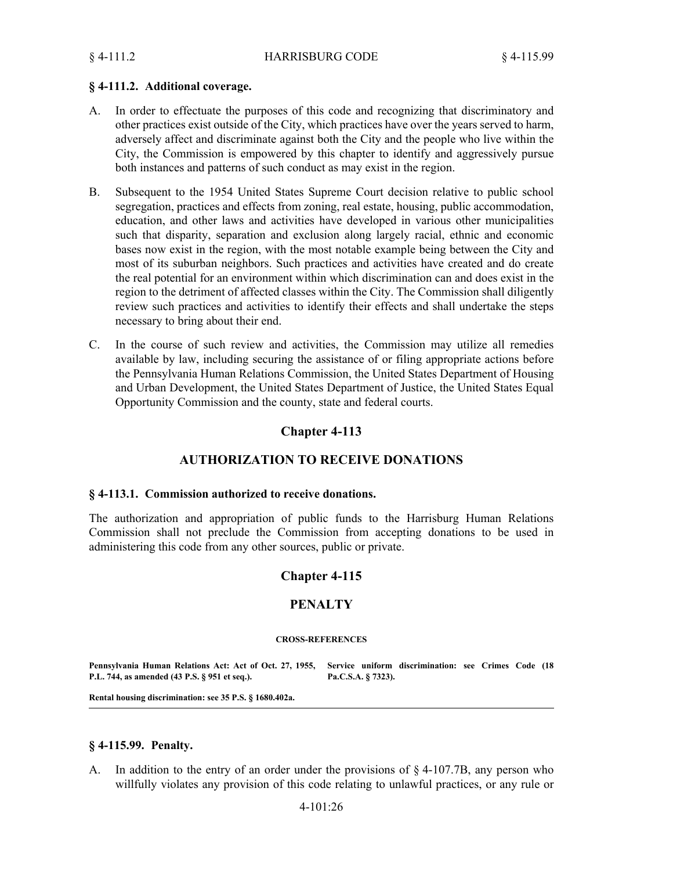#### **§ 4-111.2. Additional coverage.**

- In order to effectuate the purposes of this code and recognizing that discriminatory and other practices exist outside of the City, which practices have over the years served to harm, adversely affect and discriminate against both the City and the people who live within the City, the Commission is empowered by this chapter to identify and aggressively pursue both instances and patterns of such conduct as may exist in the region. A.
- Subsequent to the 1954 United States Supreme Court decision relative to public school segregation, practices and effects from zoning, real estate, housing, public accommodation, education, and other laws and activities have developed in various other municipalities such that disparity, separation and exclusion along largely racial, ethnic and economic bases now exist in the region, with the most notable example being between the City and most of its suburban neighbors. Such practices and activities have created and do create the real potential for an environment within which discrimination can and does exist in the region to the detriment of affected classes within the City. The Commission shall diligently review such practices and activities to identify their effects and shall undertake the steps necessary to bring about their end. B.
- In the course of such review and activities, the Commission may utilize all remedies available by law, including securing the assistance of or filing appropriate actions before the Pennsylvania Human Relations Commission, the United States Department of Housing and Urban Development, the United States Department of Justice, the United States Equal Opportunity Commission and the county, state and federal courts. C.

## **Chapter 4-113**

## **AUTHORIZATION TO RECEIVE DONATIONS**

#### **§ 4-113.1. Commission authorized to receive donations.**

The authorization and appropriation of public funds to the Harrisburg Human Relations Commission shall not preclude the Commission from accepting donations to be used in administering this code from any other sources, public or private.

### **Chapter 4-115**

### **PENALTY**

#### **CROSS-REFERENCES**

**Pennsylvania Human Relations Act: Act of Oct. 27, 1955, Service uniform discrimination: see Crimes Code (18 P.L. 744, as amended (43 P.S. § 951 et seq.). Pa.C.S.A. § 7323).**

**Rental housing discrimination: see 35 P.S. § 1680.402a.**

#### **§ 4-115.99. Penalty.**

In addition to the entry of an order under the provisions of  $\S$  4-107.7B, any person who willfully violates any provision of this code relating to unlawful practices, or any rule or A.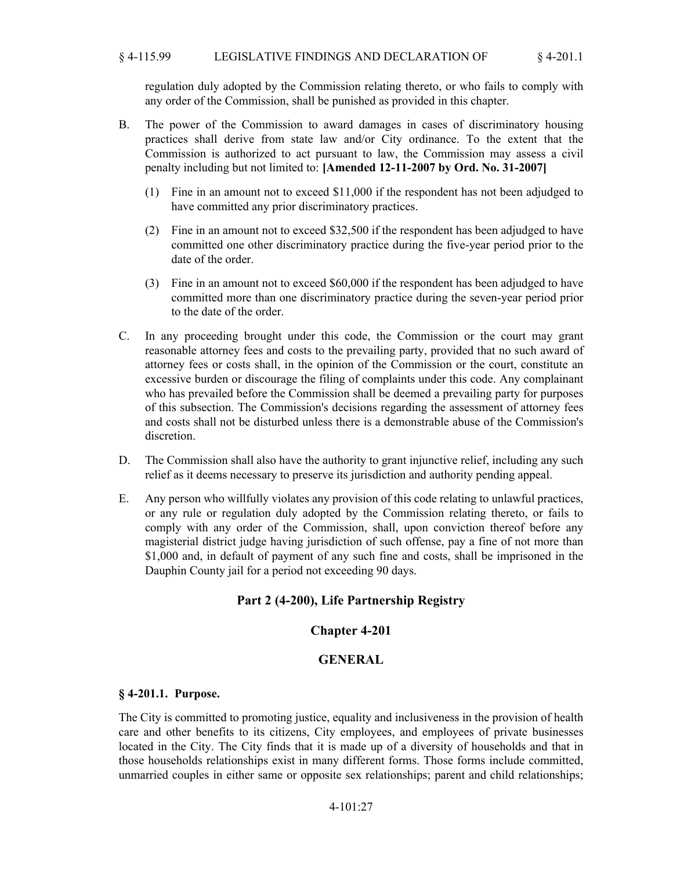#### § 4-115.99 LEGISLATIVE FINDINGS AND DECLARATION OF § 4-201.1

regulation duly adopted by the Commission relating thereto, or who fails to comply with any order of the Commission, shall be punished as provided in this chapter.

- The power of the Commission to award damages in cases of discriminatory housing practices shall derive from state law and/or City ordinance. To the extent that the Commission is authorized to act pursuant to law, the Commission may assess a civil penalty including but not limited to: **[Amended 12-11-2007 by Ord. No. 31-2007]** B.
	- Fine in an amount not to exceed \$11,000 if the respondent has not been adjudged to (1) have committed any prior discriminatory practices.
	- Fine in an amount not to exceed \$32,500 if the respondent has been adjudged to have (2) committed one other discriminatory practice during the five-year period prior to the date of the order.
	- Fine in an amount not to exceed \$60,000 if the respondent has been adjudged to have (3) committed more than one discriminatory practice during the seven-year period prior to the date of the order.
- In any proceeding brought under this code, the Commission or the court may grant reasonable attorney fees and costs to the prevailing party, provided that no such award of attorney fees or costs shall, in the opinion of the Commission or the court, constitute an excessive burden or discourage the filing of complaints under this code. Any complainant who has prevailed before the Commission shall be deemed a prevailing party for purposes of this subsection. The Commission's decisions regarding the assessment of attorney fees and costs shall not be disturbed unless there is a demonstrable abuse of the Commission's discretion.  $C_{\cdot}$
- The Commission shall also have the authority to grant injunctive relief, including any such relief as it deems necessary to preserve its jurisdiction and authority pending appeal. D.
- Any person who willfully violates any provision of this code relating to unlawful practices, or any rule or regulation duly adopted by the Commission relating thereto, or fails to comply with any order of the Commission, shall, upon conviction thereof before any magisterial district judge having jurisdiction of such offense, pay a fine of not more than \$1,000 and, in default of payment of any such fine and costs, shall be imprisoned in the Dauphin County jail for a period not exceeding 90 days. E.

# **Part 2 (4-200), Life Partnership Registry**

### **Chapter 4-201**

### **GENERAL**

#### **§ 4-201.1. Purpose.**

The City is committed to promoting justice, equality and inclusiveness in the provision of health care and other benefits to its citizens, City employees, and employees of private businesses located in the City. The City finds that it is made up of a diversity of households and that in those households relationships exist in many different forms. Those forms include committed, unmarried couples in either same or opposite sex relationships; parent and child relationships;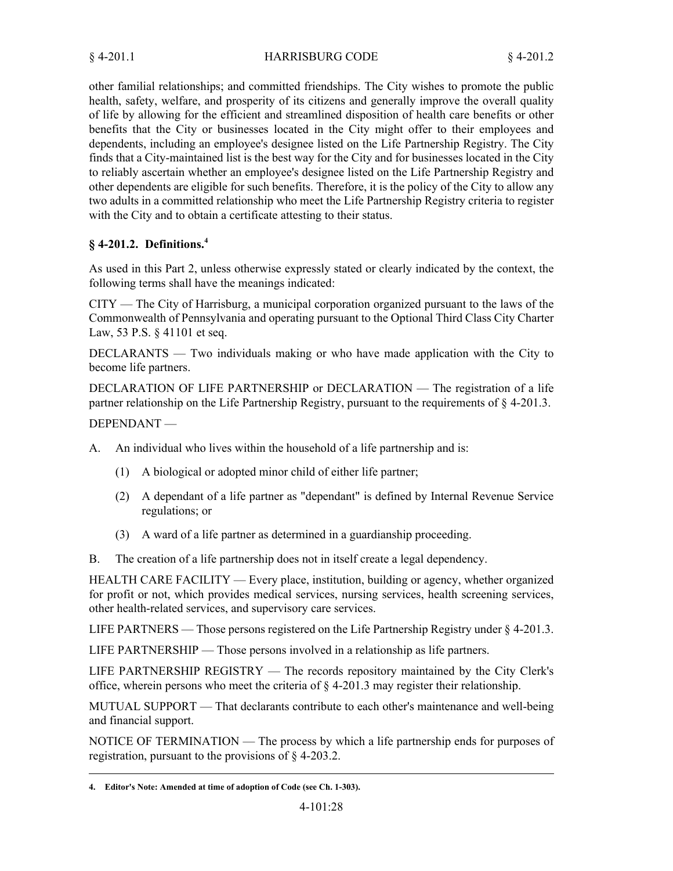other familial relationships; and committed friendships. The City wishes to promote the public health, safety, welfare, and prosperity of its citizens and generally improve the overall quality of life by allowing for the efficient and streamlined disposition of health care benefits or other benefits that the City or businesses located in the City might offer to their employees and dependents, including an employee's designee listed on the Life Partnership Registry. The City finds that a City-maintained list is the best way for the City and for businesses located in the City to reliably ascertain whether an employee's designee listed on the Life Partnership Registry and other dependents are eligible for such benefits. Therefore, it is the policy of the City to allow any two adults in a committed relationship who meet the Life Partnership Registry criteria to register with the City and to obtain a certificate attesting to their status.

# **§ 4-201.2. Definitions.<sup>4</sup>**

As used in this Part 2, unless otherwise expressly stated or clearly indicated by the context, the following terms shall have the meanings indicated:

CITY — The City of Harrisburg, a municipal corporation organized pursuant to the laws of the Commonwealth of Pennsylvania and operating pursuant to the Optional Third Class City Charter Law, 53 P.S. § 41101 et seq.

DECLARANTS — Two individuals making or who have made application with the City to become life partners.

DECLARATION OF LIFE PARTNERSHIP or DECLARATION — The registration of a life partner relationship on the Life Partnership Registry, pursuant to the requirements of § 4-201.3.

## DEPENDANT —

An individual who lives within the household of a life partnership and is: A.

- (1) A biological or adopted minor child of either life partner;
- A dependant of a life partner as "dependant" is defined by Internal Revenue Service (2) regulations; or
- (3) A ward of a life partner as determined in a guardianship proceeding.
- B. The creation of a life partnership does not in itself create a legal dependency.

HEALTH CARE FACILITY — Every place, institution, building or agency, whether organized for profit or not, which provides medical services, nursing services, health screening services, other health-related services, and supervisory care services.

LIFE PARTNERS — Those persons registered on the Life Partnership Registry under  $\S$  4-201.3.

LIFE PARTNERSHIP — Those persons involved in a relationship as life partners.

LIFE PARTNERSHIP REGISTRY — The records repository maintained by the City Clerk's office, wherein persons who meet the criteria of § 4-201.3 may register their relationship.

MUTUAL SUPPORT — That declarants contribute to each other's maintenance and well-being and financial support.

NOTICE OF TERMINATION — The process by which a life partnership ends for purposes of registration, pursuant to the provisions of § 4-203.2.

**<sup>4.</sup> Editor's Note: Amended at time of adoption of Code (see Ch. 1-303).**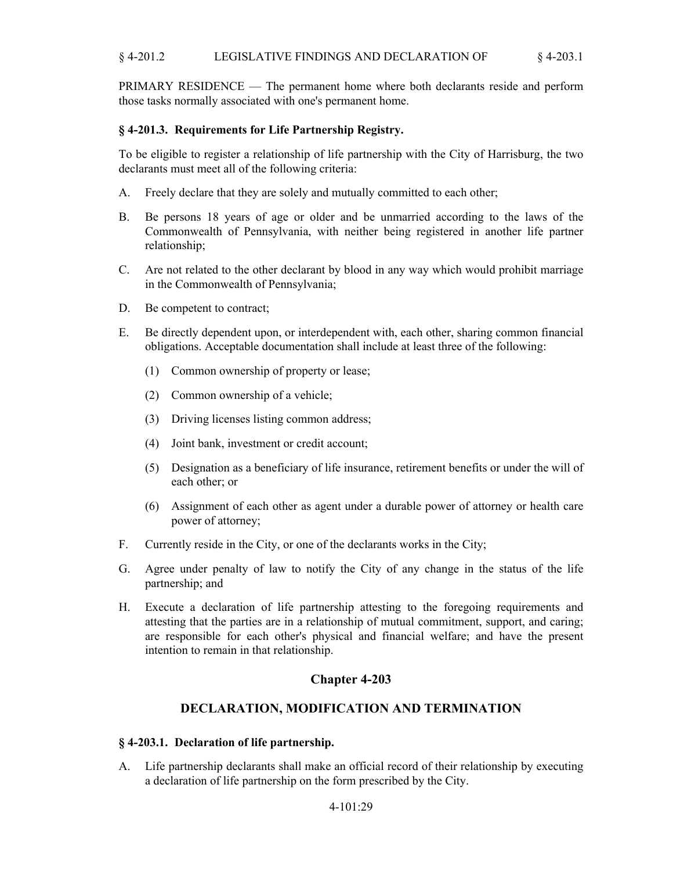PRIMARY RESIDENCE — The permanent home where both declarants reside and perform those tasks normally associated with one's permanent home.

## **§ 4-201.3. Requirements for Life Partnership Registry.**

To be eligible to register a relationship of life partnership with the City of Harrisburg, the two declarants must meet all of the following criteria:

- A. Freely declare that they are solely and mutually committed to each other;
- Be persons 18 years of age or older and be unmarried according to the laws of the Commonwealth of Pennsylvania, with neither being registered in another life partner relationship; B.
- Are not related to the other declarant by blood in any way which would prohibit marriage in the Commonwealth of Pennsylvania; C.
- D. Be competent to contract;
- Be directly dependent upon, or interdependent with, each other, sharing common financial obligations. Acceptable documentation shall include at least three of the following: E.
	- (1) Common ownership of property or lease;
	- (2) Common ownership of a vehicle;
	- (3) Driving licenses listing common address;
	- (4) Joint bank, investment or credit account;
	- Designation as a beneficiary of life insurance, retirement benefits or under the will of (5) each other; or
	- Assignment of each other as agent under a durable power of attorney or health care (6) power of attorney;
- F. Currently reside in the City, or one of the declarants works in the City;
- Agree under penalty of law to notify the City of any change in the status of the life partnership; and G.
- Execute a declaration of life partnership attesting to the foregoing requirements and H. attesting that the parties are in a relationship of mutual commitment, support, and caring; are responsible for each other's physical and financial welfare; and have the present intention to remain in that relationship.

# **Chapter 4-203**

# **DECLARATION, MODIFICATION AND TERMINATION**

### **§ 4-203.1. Declaration of life partnership.**

A. Life partnership declarants shall make an official record of their relationship by executing a declaration of life partnership on the form prescribed by the City.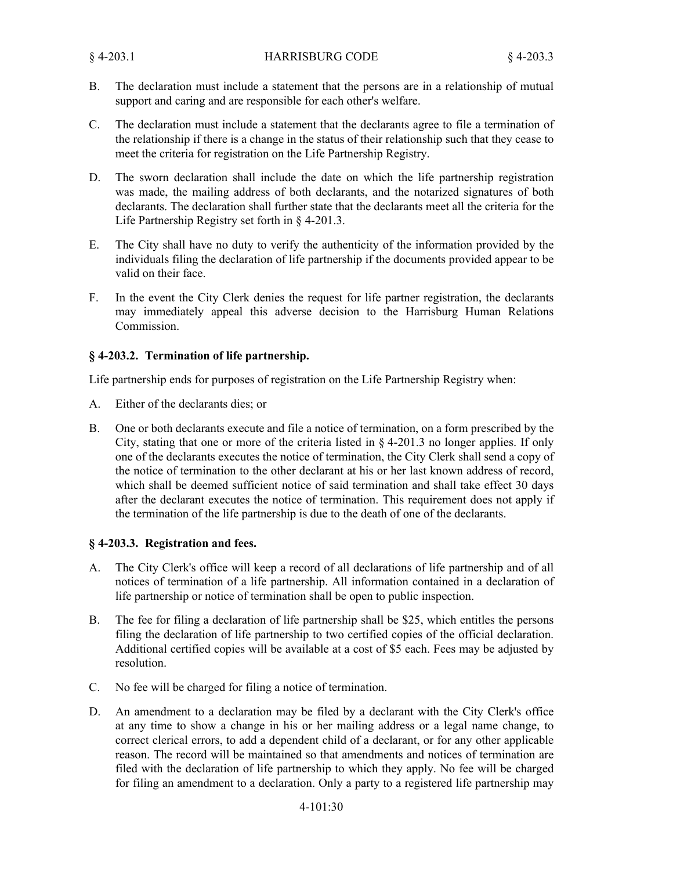- The declaration must include a statement that the persons are in a relationship of mutual support and caring and are responsible for each other's welfare. B.
- The declaration must include a statement that the declarants agree to file a termination of the relationship if there is a change in the status of their relationship such that they cease to meet the criteria for registration on the Life Partnership Registry. C.
- The sworn declaration shall include the date on which the life partnership registration was made, the mailing address of both declarants, and the notarized signatures of both declarants. The declaration shall further state that the declarants meet all the criteria for the Life Partnership Registry set forth in § 4-201.3. D.
- The City shall have no duty to verify the authenticity of the information provided by the individuals filing the declaration of life partnership if the documents provided appear to be valid on their face. E.
- In the event the City Clerk denies the request for life partner registration, the declarants may immediately appeal this adverse decision to the Harrisburg Human Relations Commission. F.

### **§ 4-203.2. Termination of life partnership.**

Life partnership ends for purposes of registration on the Life Partnership Registry when:

- A. Either of the declarants dies; or
- One or both declarants execute and file a notice of termination, on a form prescribed by the City, stating that one or more of the criteria listed in § 4-201.3 no longer applies. If only one of the declarants executes the notice of termination, the City Clerk shall send a copy of the notice of termination to the other declarant at his or her last known address of record, which shall be deemed sufficient notice of said termination and shall take effect 30 days after the declarant executes the notice of termination. This requirement does not apply if the termination of the life partnership is due to the death of one of the declarants. B.

### **§ 4-203.3. Registration and fees.**

- The City Clerk's office will keep a record of all declarations of life partnership and of all notices of termination of a life partnership. All information contained in a declaration of life partnership or notice of termination shall be open to public inspection. A.
- The fee for filing a declaration of life partnership shall be \$25, which entitles the persons filing the declaration of life partnership to two certified copies of the official declaration. Additional certified copies will be available at a cost of \$5 each. Fees may be adjusted by resolution. B.
- C. No fee will be charged for filing a notice of termination.
- An amendment to a declaration may be filed by a declarant with the City Clerk's office at any time to show a change in his or her mailing address or a legal name change, to correct clerical errors, to add a dependent child of a declarant, or for any other applicable reason. The record will be maintained so that amendments and notices of termination are filed with the declaration of life partnership to which they apply. No fee will be charged for filing an amendment to a declaration. Only a party to a registered life partnership may D.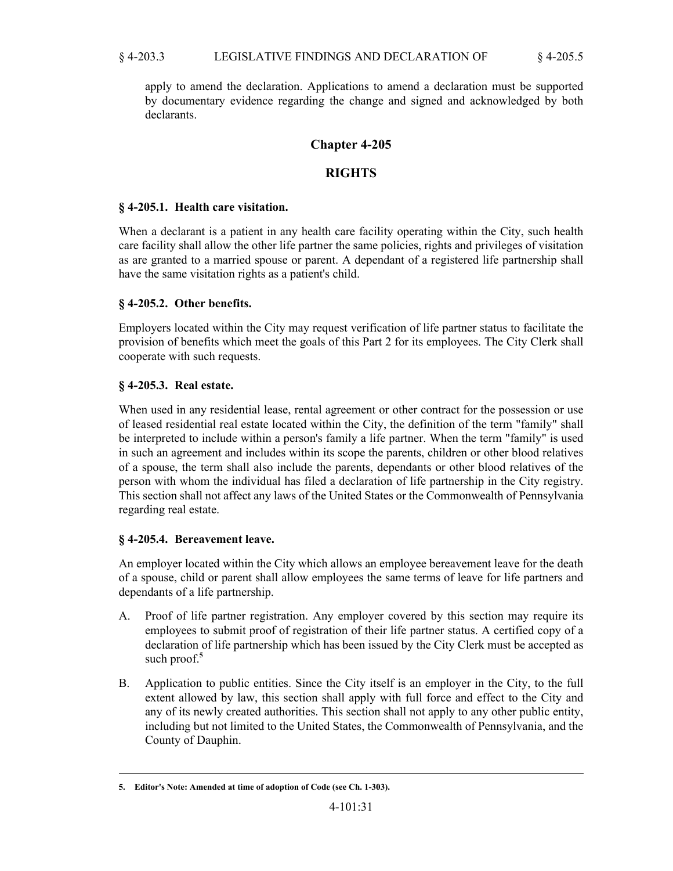apply to amend the declaration. Applications to amend a declaration must be supported by documentary evidence regarding the change and signed and acknowledged by both declarants.

# **Chapter 4-205**

# **RIGHTS**

## **§ 4-205.1. Health care visitation.**

When a declarant is a patient in any health care facility operating within the City, such health care facility shall allow the other life partner the same policies, rights and privileges of visitation as are granted to a married spouse or parent. A dependant of a registered life partnership shall have the same visitation rights as a patient's child.

## **§ 4-205.2. Other benefits.**

Employers located within the City may request verification of life partner status to facilitate the provision of benefits which meet the goals of this Part 2 for its employees. The City Clerk shall cooperate with such requests.

## **§ 4-205.3. Real estate.**

When used in any residential lease, rental agreement or other contract for the possession or use of leased residential real estate located within the City, the definition of the term "family" shall be interpreted to include within a person's family a life partner. When the term "family" is used in such an agreement and includes within its scope the parents, children or other blood relatives of a spouse, the term shall also include the parents, dependants or other blood relatives of the person with whom the individual has filed a declaration of life partnership in the City registry. This section shall not affect any laws of the United States or the Commonwealth of Pennsylvania regarding real estate.

# **§ 4-205.4. Bereavement leave.**

An employer located within the City which allows an employee bereavement leave for the death of a spouse, child or parent shall allow employees the same terms of leave for life partners and dependants of a life partnership.

- Proof of life partner registration. Any employer covered by this section may require its employees to submit proof of registration of their life partner status. A certified copy of a declaration of life partnership which has been issued by the City Clerk must be accepted as such proof.**<sup>5</sup>** A.
- Application to public entities. Since the City itself is an employer in the City, to the full extent allowed by law, this section shall apply with full force and effect to the City and any of its newly created authorities. This section shall not apply to any other public entity, including but not limited to the United States, the Commonwealth of Pennsylvania, and the County of Dauphin. B.

**<sup>5.</sup> Editor's Note: Amended at time of adoption of Code (see Ch. 1-303).**